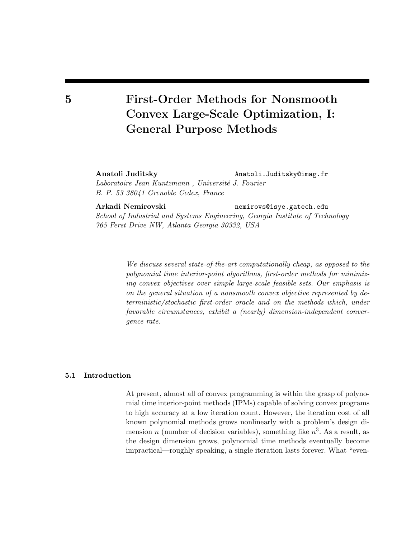# 5 First-Order Methods for Nonsmooth Convex Large-Scale Optimization, I: General Purpose Methods

Anatoli Juditsky Anatoli.Juditsky@imag.fr

Laboratoire Jean Kuntzmann, Université J. Fourier B. P. 53 38041 Grenoble Cedex, France

Arkadi Nemirovski nemirovs@isye.gatech.edu

School of Industrial and Systems Engineering, Georgia Institute of Technology 765 Ferst Drive NW, Atlanta Georgia 30332, USA

> We discuss several state-of-the-art computationally cheap, as opposed to the polynomial time interior-point algorithms, first-order methods for minimizing convex objectives over simple large-scale feasible sets. Our emphasis is on the general situation of a nonsmooth convex objective represented by deterministic/stochastic first-order oracle and on the methods which, under favorable circumstances, exhibit a (nearly) dimension-independent convergence rate.

# 5.1 Introduction

At present, almost all of convex programming is within the grasp of polynomial time interior-point methods (IPMs) capable of solving convex programs to high accuracy at a low iteration count. However, the iteration cost of all known polynomial methods grows nonlinearly with a problem's design dimension *n* (number of decision variables), something like  $n^3$ . As a result, as the design dimension grows, polynomial time methods eventually become impractical—roughly speaking, a single iteration lasts forever. What "even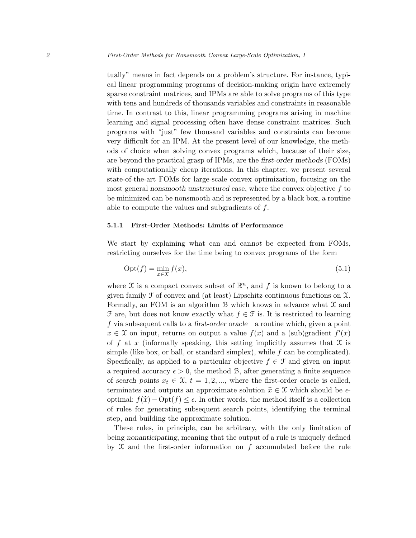tually" means in fact depends on a problem's structure. For instance, typical linear programming programs of decision-making origin have extremely sparse constraint matrices, and IPMs are able to solve programs of this type with tens and hundreds of thousands variables and constraints in reasonable time. In contrast to this, linear programming programs arising in machine learning and signal processing often have dense constraint matrices. Such programs with "just" few thousand variables and constraints can become very difficult for an IPM. At the present level of our knowledge, the methods of choice when solving convex programs which, because of their size, are beyond the practical grasp of IPMs, are the first-order methods (FOMs) with computationally cheap iterations. In this chapter, we present several state-of-the-art FOMs for large-scale convex optimization, focusing on the most general nonsmooth unstructured case, where the convex objective  $f$  to be minimized can be nonsmooth and is represented by a black box, a routine able to compute the values and subgradients of  $f$ .

# 5.1.1 First-Order Methods: Limits of Performance

We start by explaining what can and cannot be expected from FOMs, restricting ourselves for the time being to convex programs of the form

$$
Opt(f) = \min_{x \in \mathcal{X}} f(x),\tag{5.1}
$$

where X is a compact convex subset of  $\mathbb{R}^n$ , and f is known to belong to a given family  $\mathcal F$  of convex and (at least) Lipschitz continuous functions on  $\mathcal X$ . Formally, an FOM is an algorithm  $\mathcal B$  which knows in advance what  $\mathcal X$  and  $\mathcal F$  are, but does not know exactly what  $f \in \mathcal F$  is. It is restricted to learning f via subsequent calls to a first-order oracle—a routine which, given a point  $x \in \mathfrak{X}$  on input, returns on output a value  $f(x)$  and a (sub)gradient  $f'(x)$ of f at x (informally speaking, this setting implicitly assumes that  $\mathfrak X$  is simple (like box, or ball, or standard simplex), while  $f$  can be complicated). Specifically, as applied to a particular objective  $f \in \mathcal{F}$  and given on input a required accuracy  $\epsilon > 0$ , the method B, after generating a finite sequence of search points  $x_t \in \mathfrak{X}, t = 1, 2, \ldots$ , where the first-order oracle is called, terminates and outputs an approximate solution  $\hat{x} \in \mathcal{X}$  which should be  $\epsilon$ optimal:  $f(\hat{x}) - \text{Opt}(f) \leq \epsilon$ . In other words, the method itself is a collection of rules for generating subsequent search points, identifying the terminal step, and building the approximate solution.

These rules, in principle, can be arbitrary, with the only limitation of being nonanticipating, meaning that the output of a rule is uniquely defined by  $X$  and the first-order information on f accumulated before the rule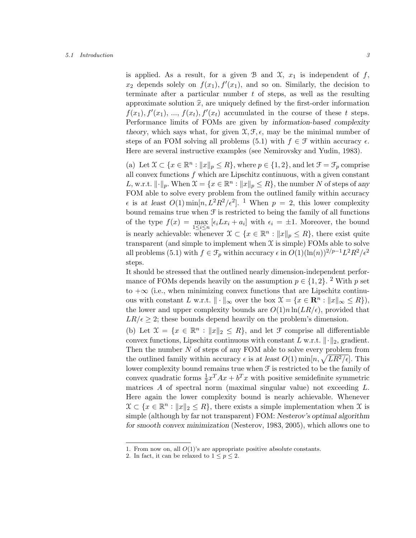### 5.1 Introduction 3

is applied. As a result, for a given B and X,  $x_1$  is independent of f,  $x_2$  depends solely on  $f(x_1)$ ,  $f'(x_1)$ , and so on. Similarly, the decision to terminate after a particular number  $t$  of steps, as well as the resulting approximate solution  $\hat{x}$ , are uniquely defined by the first-order information  $f(x_1), f'(x_1), ..., f(x_t), f'(x_t)$  accumulated in the course of these t steps. Performance limits of FOMs are given by information-based complexity theory, which says what, for given  $\mathfrak{X}, \mathfrak{F}, \epsilon$ , may be the minimal number of steps of an FOM solving all problems (5.1) with  $f \in \mathcal{F}$  within accuracy  $\epsilon$ . Here are several instructive examples (see Nemirovsky and Yudin, 1983).

(a) Let  $\mathcal{X} \subset \{x \in \mathbb{R}^n : ||x||_p \leq R\}$ , where  $p \in \{1, 2\}$ , and let  $\mathcal{F} = \mathcal{F}_p$  comprise all convex functions  $f$  which are Lipschitz continuous, with a given constant L, w.r.t.  $\lVert \cdot \rVert_p$ . When  $\mathfrak{X} = \{x \in \mathbb{R}^n : ||x||_p \leq R\}$ , the number N of steps of any FOM able to solve every problem from the outlined family within accuracy  $\epsilon$  is at least  $O(1)$  min $[n, L^2R^2/\epsilon^2]$ . <sup>1</sup> When  $p = 2$ , this lower complexity bound remains true when  $\mathcal F$  is restricted to being the family of all functions of the type  $f(x) = \max_{1 \leq i \leq n} [\epsilon_i L x_i + a_i]$  with  $\epsilon_i = \pm 1$ . Moreover, the bound is nearly achievable: whenever  $\mathcal{X} \subset \{x \in \mathbb{R}^n : ||x||_p \leq R\}$ , there exist quite transparent (and simple to implement when  $\mathfrak X$  is simple) FOMs able to solve all problems (5.1) with  $f \in \mathcal{F}_p$  within accuracy  $\epsilon$  in  $O(1)(\ln(n))^{2/p-1}L^2R^2/\epsilon^2$ steps.

It should be stressed that the outlined nearly dimension-independent performance of FOMs depends heavily on the assumption  $p \in \{1, 2\}$ . <sup>2</sup> With p set to  $+\infty$  (i.e., when minimizing convex functions that are Lipschitz continuous with constant L w.r.t.  $\|\cdot\|_{\infty}$  over the box  $\mathfrak{X} = \{x \in \mathbb{R}^n : \|x\|_{\infty} \leq R\},\$ the lower and upper complexity bounds are  $O(1)n \ln(LR/\epsilon)$ , provided that  $LR/\epsilon \geq 2$ ; these bounds depend heavily on the problem's dimension.

(b) Let  $\mathfrak{X} = \{x \in \mathbb{R}^n : ||x||_2 \leq R\}$ , and let  $\mathfrak{F}$  comprise all differentiable convex functions, Lipschitz continuous with constant L w.r.t.  $\|\cdot\|_2$ , gradient. Then the number  $N$  of steps of any FOM able to solve every problem from the outlined family within accuracy  $\epsilon$  is at least  $O(1)$  min $[n, \sqrt{LR^2/\epsilon}]$ . This lower complexity bound remains true when  $\mathcal F$  is restricted to be the family of convex quadratic forms  $\frac{1}{2}x^T Ax + b^T x$  with positive semidefinite symmetric matrices A of spectral norm (maximal singular value) not exceeding L. Here again the lower complexity bound is nearly achievable. Whenever  $\mathfrak{X} \subset \{x \in \mathbb{R}^n : ||x||_2 \leq R\}$ , there exists a simple implementation when X is simple (although by far not transparent) FOM: Nesterov's optimal algorithm for smooth convex minimization (Nesterov, 1983, 2005), which allows one to

<sup>1.</sup> From now on, all  $O(1)$ 's are appropriate positive absolute constants.

<sup>2.</sup> In fact, it can be relaxed to  $1 \le p \le 2$ .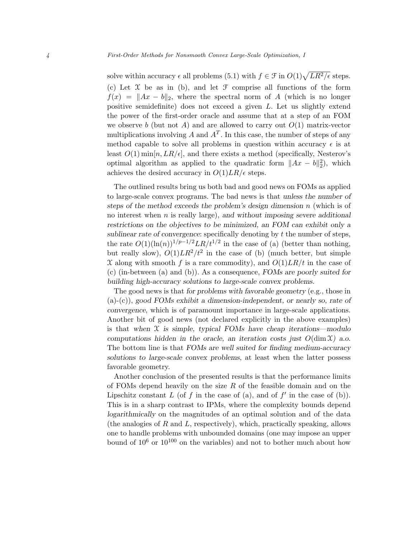solve within accuracy  $\epsilon$  all problems (5.1) with  $f \in \mathcal{F}$  in  $O(1)\sqrt{LR^2/\epsilon}$  steps. (c) Let  $\mathfrak X$  be as in (b), and let  $\mathfrak F$  comprise all functions of the form  $f(x) = ||Ax - b||_2$ , where the spectral norm of A (which is no longer positive semidefinite) does not exceed a given L. Let us slightly extend the power of the first-order oracle and assume that at a step of an FOM we observe b (but not A) and are allowed to carry out  $O(1)$  matrix-vector multiplications involving A and  $A<sup>T</sup>$ . In this case, the number of steps of any method capable to solve all problems in question within accuracy  $\epsilon$  is at least  $O(1)$  min $[n, LR/\epsilon]$ , and there exists a method (specifically, Nesterov's optimal algorithm as applied to the quadratic form  $||Ax - b||_2^2$ , which achieves the desired accuracy in  $O(1)LR/\epsilon$  steps.

The outlined results bring us both bad and good news on FOMs as applied to large-scale convex programs. The bad news is that unless the number of steps of the method exceeds the problem's design dimension n (which is of no interest when  $n$  is really large), and without imposing severe additional restrictions on the objectives to be minimized, an FOM can exhibit only a sublinear rate of convergence: specifically denoting by  $t$  the number of steps, the rate  $O(1)(\ln(n))^{1/p-1/2}LR/t^{1/2}$  in the case of (a) (better than nothing, but really slow),  $O(1)LR^2/t^2$  in the case of (b) (much better, but simple X along with smooth f is a rare commodity), and  $O(1)LR/t$  in the case of (c) (in-between (a) and (b)). As a consequence, FOMs are poorly suited for building high-accuracy solutions to large-scale convex problems.

The good news is that for problems with favorable geometry (e.g., those in  $(a)-(c)$ , good FOMs exhibit a dimension-independent, or nearly so, rate of convergence, which is of paramount importance in large-scale applications. Another bit of good news (not declared explicitly in the above examples) is that when  $X$  is simple, typical FOMs have cheap iterations—modulo computations hidden in the oracle, an iteration costs just  $O(\dim \mathfrak{X})$  a.o. The bottom line is that FOMs are well suited for finding medium-accuracy solutions to large-scale convex problems, at least when the latter possess favorable geometry.

Another conclusion of the presented results is that the performance limits of FOMs depend heavily on the size  $R$  of the feasible domain and on the Lipschitz constant  $L$  (of  $f$  in the case of (a), and of  $f'$  in the case of (b)). This is in a sharp contrast to IPMs, where the complexity bounds depend logarithmically on the magnitudes of an optimal solution and of the data (the analogies of  $R$  and  $L$ , respectively), which, practically speaking, allows one to handle problems with unbounded domains (one may impose an upper bound of  $10^6$  or  $10^{100}$  on the variables) and not to bother much about how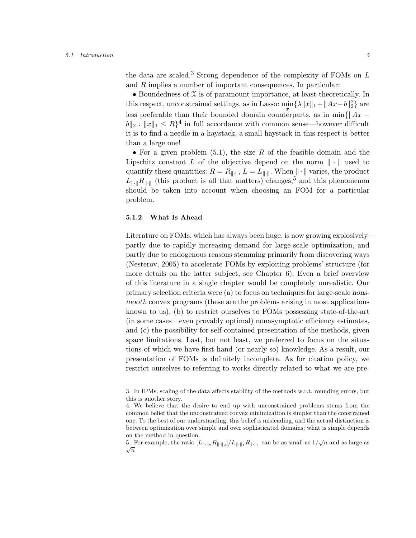#### 5.1 Introduction 5

the data are scaled.<sup>3</sup> Strong dependence of the complexity of FOMs on  $L$ and R implies a number of important consequences. In particular:

• Boundedness of  $X$  is of paramount importance, at least theoretically. In this respect, unconstrained settings, as in Lasso:  $\min_{x} {\lambda ||x||_1 + ||Ax - b||_2^2}$  are less preferable than their bounded domain counterparts, as in min{ $\|Ax ||b||_2 : ||x||_1 \leq R$ <sup>4</sup> in full accordance with common sense—however difficult it is to find a needle in a haystack, a small haystack in this respect is better than a large one!

• For a given problem  $(5.1)$ , the size R of the feasible domain and the Lipschitz constant L of the objective depend on the norm  $\|\cdot\|$  used to quantify these quantities:  $R = R_{\|\cdot\|}$ ,  $L = L_{\|\cdot\|}$ . When  $\|\cdot\|$  varies, the product  $L_{\parallel\cdot\parallel}R_{\parallel\cdot\parallel}$  (this product is all that matters) changes,<sup>5</sup> and this phenomenon should be taken into account when choosing an FOM for a particular problem.

# 5.1.2 What Is Ahead

Literature on FOMs, which has always been huge, is now growing explosively partly due to rapidly increasing demand for large-scale optimization, and partly due to endogenous reasons stemming primarily from discovering ways (Nesterov, 2005) to accelerate FOMs by exploiting problems' structure (for more details on the latter subject, see Chapter 6). Even a brief overview of this literature in a single chapter would be completely unrealistic. Our primary selection criteria were (a) to focus on techniques for large-scale nonsmooth convex programs (these are the problems arising in most applications known to us), (b) to restrict ourselves to FOMs possessing state-of-the-art (in some cases—even provably optimal) nonasymptotic efficiency estimates, and (c) the possibility for self-contained presentation of the methods, given space limitations. Last, but not least, we preferred to focus on the situations of which we have first-hand (or nearly so) knowledge. As a result, our presentation of FOMs is definitely incomplete. As for citation policy, we restrict ourselves to referring to works directly related to what we are pre-

<sup>3.</sup> In IPMs, scaling of the data affects stability of the methods w.r.t. rounding errors, but this is another story.

<sup>4.</sup> We believe that the desire to end up with unconstrained problems stems from the common belief that the unconstrained convex minimization is simpler than the constrained one. To the best of our understanding, this belief is misleading, and the actual distinction is between optimization over simple and over sophisticated domains; what is simple depends on the method in question.

on the method in question.<br>5. For example, the ratio  $[L_{\|\cdot\|_2}R_{\|\cdot\|_2}]/L_{\|\cdot\|_1}R_{\|\cdot\|_1}$  can be as small as  $1/\sqrt{n}$  and as large as  $\sqrt{n}$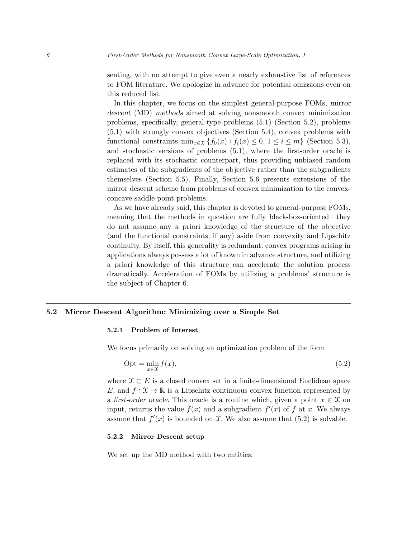senting, with no attempt to give even a nearly exhaustive list of references to FOM literature. We apologize in advance for potential omissions even on this reduced list.

In this chapter, we focus on the simplest general-purpose FOMs, mirror descent (MD) methods aimed at solving nonsmooth convex minimization problems, specifically, general-type problems (5.1) (Section 5.2), problems (5.1) with strongly convex objectives (Section 5.4), convex problems with functional constraints  $\min_{x \in \mathcal{X}} \{f_0(x) : f_i(x) \leq 0, 1 \leq i \leq m\}$  (Section 5.3), and stochastic versions of problems (5.1), where the first-order oracle is replaced with its stochastic counterpart, thus providing unbiased random estimates of the subgradients of the objective rather than the subgradients themselves (Section 5.5). Finally, Section 5.6 presents extensions of the mirror descent scheme from problems of convex minimization to the convexconcave saddle-point problems.

As we have already said, this chapter is devoted to general-purpose FOMs, meaning that the methods in question are fully black-box-oriented—they do not assume any a priori knowledge of the structure of the objective (and the functional constraints, if any) aside from convexity and Lipschitz continuity. By itself, this generality is redundant: convex programs arising in applications always possess a lot of known in advance structure, and utilizing a priori knowledge of this structure can accelerate the solution process dramatically. Acceleration of FOMs by utilizing a problems' structure is the subject of Chapter 6.

## 5.2 Mirror Descent Algorithm: Minimizing over a Simple Set

## 5.2.1 Problem of Interest

We focus primarily on solving an optimization problem of the form

$$
Opt = \min_{x \in \mathcal{X}} f(x),\tag{5.2}
$$

where  $\mathfrak{X} \subset E$  is a closed convex set in a finite-dimensional Euclidean space E, and  $f: \mathcal{X} \to \mathbb{R}$  is a Lipschitz continuous convex function represented by a first-order oracle. This oracle is a routine which, given a point  $x \in \mathcal{X}$  on input, returns the value  $f(x)$  and a subgradient  $f'(x)$  of f at x. We always assume that  $f'(x)$  is bounded on X. We also assume that  $(5.2)$  is solvable.

# 5.2.2 Mirror Descent setup

We set up the MD method with two entities: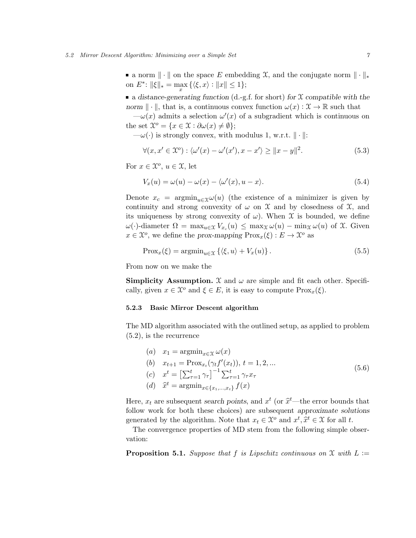a norm  $\|\cdot\|$  on the space E embedding X, and the conjugate norm  $\|\cdot\|_*$ on  $E^*$ :  $\|\xi\|_* = \max_x {\{\langle \xi, x \rangle : \|x\| \le 1\}};$ 

a distance-generating function (d.-g.f. for short) for  $X$  compatible with the norm  $\|\cdot\|$ , that is, a continuous convex function  $\omega(x): \mathcal{X} \to \mathbb{R}$  such that

 $-\omega(x)$  admits a selection  $\omega'(x)$  of a subgradient which is continuous on the set  $\mathcal{X}^o = \{x \in \mathcal{X} : \partial \omega(x) \neq \emptyset\};$ 

 $-\omega(\cdot)$  is strongly convex, with modulus 1, w.r.t.  $\|\cdot\|$ :

$$
\forall (x, x' \in \mathcal{X}^o) : \langle \omega'(x) - \omega'(x'), x - x' \rangle \ge ||x - y||^2. \tag{5.3}
$$

For  $x \in \mathfrak{X}^o$ ,  $u \in \mathfrak{X}$ , let

$$
V_x(u) = \omega(u) - \omega(x) - \langle \omega'(x), u - x \rangle.
$$
\n(5.4)

Denote  $x_c = \operatorname{argmin}_{u \in \mathcal{X}} \omega(u)$  (the existence of a minimizer is given by continuity and strong convexity of  $\omega$  on  $\mathfrak X$  and by closedness of  $\mathfrak X$ , and its uniqueness by strong convexity of  $\omega$ ). When  $\mathfrak X$  is bounded, we define  $\omega(\cdot)$ -diameter  $\Omega = \max_{u \in \mathcal{X}} V_{x_c}(u) \leq \max_{\mathcal{X}} \omega(u) - \min_{\mathcal{X}} \omega(u)$  of X. Given  $x \in \mathfrak{X}^o$ , we define the prox-mapping  $\text{Prox}_x(\xi) : E \to \mathfrak{X}^o$  as

$$
\text{Prox}_x(\xi) = \operatorname{argmin}_{u \in \mathcal{X}} \left\{ \langle \xi, u \rangle + V_x(u) \right\}. \tag{5.5}
$$

From now on we make the

**Simplicity Assumption.** X and  $\omega$  are simple and fit each other. Specifically, given  $x \in \mathcal{X}^o$  and  $\xi \in E$ , it is easy to compute  $\text{Prox}_x(\xi)$ .

## 5.2.3 Basic Mirror Descent algorithm

The MD algorithm associated with the outlined setup, as applied to problem (5.2), is the recurrence

(a)  $x_1 = \operatorname{argmin}_{x \in \Upsilon} \omega(x)$ (b)  $x_{t+1} = \text{Prox}_{x_t}(\gamma_t f'(x_t)), t = 1, 2, ...$ (c)  $x^t = \left[\sum_{\tau=1}^t \gamma_{\tau}\right]^{-1} \sum_{\tau=1}^t \gamma_{\tau} x_{\tau}$ (d)  $\hat{x}^t = \operatorname{argmin}_{x \in \{x_1, ..., x_t\}} f(x)$ (5.6)

Here,  $x_t$  are subsequent search points, and  $x^t$  (or  $\hat{x}^t$ —the error bounds that  $f_{\text{allow model}}$  for both these choices) are subsequent approximate colutions follow work for both these choices) are subsequent approximate solutions generated by the algorithm. Note that  $x_t \in \mathcal{X}^o$  and  $x^t, \hat{x}^t \in \mathcal{X}$  for all t.<br>The convenience preparing of MD steps from the following simple of

The convergence properties of MD stem from the following simple observation:

**Proposition 5.1.** Suppose that f is Lipschitz continuous on X with  $L :=$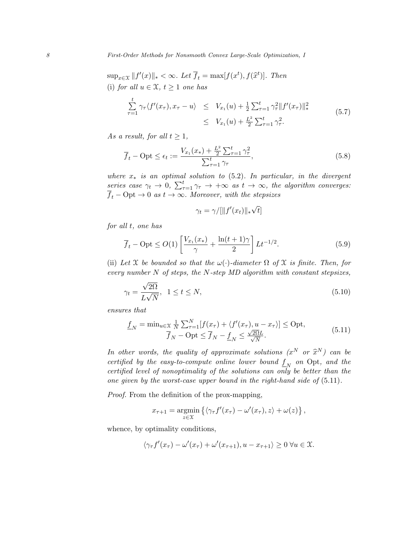$\sup_{x \in \mathcal{X}} ||f'(x)||_* < \infty$ . Let  $\overline{f}_t = \max[f(x^t), f(\hat{x}^t)].$  Then (i) for all  $u \in \mathfrak{X}$ ,  $t \geq 1$  one has

$$
\sum_{\tau=1}^{t} \gamma_{\tau} \langle f'(x_{\tau}), x_{\tau} - u \rangle \leq V_{x_{1}}(u) + \frac{1}{2} \sum_{\tau=1}^{t} \gamma_{\tau}^{2} ||f'(x_{\tau})||_{*}^{2}
$$
\n
$$
\leq V_{x_{1}}(u) + \frac{L^{2}}{2} \sum_{\tau=1}^{t} \gamma_{\tau}^{2}.
$$
\n(5.7)

As a result, for all  $t \geq 1$ ,

$$
\overline{f}_t - \text{Opt} \le \epsilon_t := \frac{V_{x_1}(x_*) + \frac{L^2}{2} \sum_{\tau=1}^t \gamma_\tau^2}{\sum_{\tau=1}^t \gamma_\tau},\tag{5.8}
$$

where  $x<sub>*</sub>$  is an optimal solution to (5.2). In particular, in the divergent series case  $\gamma_t \to 0$ ,  $\sum_{\tau=1}^t \gamma_\tau \to +\infty$  as  $t \to \infty$ , the algorithm converges:  $\overline{f}_t$  – Opt  $\rightarrow$  0 as  $t \rightarrow \infty$ . Moreover, with the stepsizes

$$
\gamma_t = \gamma / [\|f'(x_t)\|_* \sqrt{t}]
$$

for all t, one has

$$
\overline{f}_t - \text{Opt} \le O(1) \left[ \frac{V_{x_1}(x_*)}{\gamma} + \frac{\ln(t+1)\gamma}{2} \right] L t^{-1/2}.
$$
 (5.9)

(ii) Let X be bounded so that the  $\omega(\cdot)$ -diameter  $\Omega$  of X is finite. Then, for every number  $N$  of steps, the  $N$ -step  $MD$  algorithm with constant stepsizes,

$$
\gamma_t = \frac{\sqrt{2\Omega}}{L\sqrt{N}}, \quad 1 \le t \le N,\tag{5.10}
$$

ensures that

$$
\underline{f}_N = \min_{u \in \mathcal{X}} \frac{1}{N} \sum_{\tau=1}^N [f(x_\tau) + \langle f'(x_\tau), u - x_\tau \rangle] \le \text{Opt},
$$
\n
$$
\overline{f}_N - \text{Opt} \le \overline{f}_N - \underline{f}_N \le \frac{\sqrt{2\Omega}L}{\sqrt{N}}.
$$
\n(5.11)

In other words, the quality of approximate solutions  $(x^N \text{ or } \hat{x}^N)$  can be continued by the case to compute online leaves beam of f and  $\mathcal{L}$ certified by the easy-to-compute online lower bound  $\underline{f}_N$  on Opt, and the certified level of nonoptimality of the solutions can only be better than the one given by the worst-case upper bound in the right-hand side of (5.11).

Proof. From the definition of the prox-mapping,

$$
x_{\tau+1} = \underset{z \in \mathcal{X}}{\operatorname{argmin}} \left\{ \langle \gamma_{\tau} f'(x_{\tau}) - \omega'(x_{\tau}), z \rangle + \omega(z) \right\},\,
$$

whence, by optimality conditions,

$$
\langle \gamma_{\tau} f'(x_{\tau}) - \omega'(x_{\tau}) + \omega'(x_{\tau+1}), u - x_{\tau+1} \rangle \ge 0 \ \forall u \in \mathfrak{X}.
$$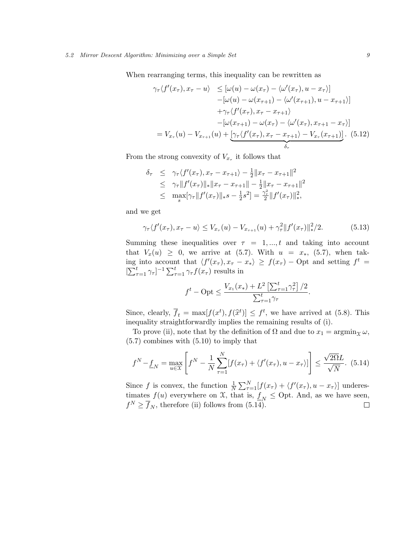When rearranging terms, this inequality can be rewritten as

$$
\gamma_{\tau}\langle f'(x_{\tau}), x_{\tau} - u \rangle \leq [\omega(u) - \omega(x_{\tau}) - \langle \omega'(x_{\tau}), u - x_{\tau} \rangle] -[\omega(u) - \omega(x_{\tau+1}) - \langle \omega'(x_{\tau+1}), u - x_{\tau+1} \rangle] + \gamma_{\tau}\langle f'(x_{\tau}), x_{\tau} - x_{\tau+1} \rangle -[\omega(x_{\tau+1}) - \omega(x_{\tau}) - \langle \omega'(x_{\tau}), x_{\tau+1} - x_{\tau} \rangle] = V_{x_{\tau}}(u) - V_{x_{\tau+1}}(u) + [\gamma_{\tau}\langle f'(x_{\tau}), x_{\tau} - x_{\tau+1} \rangle - V_{x_{\tau}}(x_{\tau+1})]. \tag{5.12}
$$

From the strong convexity of  $V_{x_\tau}$  it follows that

$$
\delta_{\tau} \leq \gamma_{\tau} \langle f'(x_{\tau}), x_{\tau} - x_{\tau+1} \rangle - \frac{1}{2} ||x_{\tau} - x_{\tau+1}||^2 \leq \gamma_{\tau} ||f'(x_{\tau})||_* ||x_{\tau} - x_{\tau+1}|| - \frac{1}{2} ||x_{\tau} - x_{\tau+1}||^2 \leq \max_{s} [\gamma_{\tau} ||f'(x_{\tau})||_* s - \frac{1}{2} s^2] = \frac{\gamma_{\tau}^2}{2} ||f'(x_{\tau})||_*^2,
$$

and we get

$$
\gamma_{\tau} \langle f'(x_{\tau}), x_{\tau} - u \rangle \le V_{x_{\tau}}(u) - V_{x_{\tau+1}}(u) + \gamma_{\tau}^2 \|f'(x_{\tau})\|_{*}^2/2. \tag{5.13}
$$

Summing these inequalities over  $\tau = 1, \dots, t$  and taking into account that  $V_x(u) \geq 0$ , we arrive at (5.7). With  $u = x_*$ , (5.7), when taking into account that  $\langle f'(x_\tau), x_\tau - x_* \rangle \geq f(x_\tau) - \text{Opt}$  and setting  $f^t =$  $[\sum_{\tau=1}^t \gamma_\tau]^{-1} \sum_{\tau=1}^t \gamma_\tau f(x_\tau)$  results in

$$
f^{t} - \text{Opt} \le \frac{V_{x_1}(x_*) + L^2 \left[\sum_{\tau=1}^{t} \gamma_{\tau}^2\right] / 2}{\sum_{\tau=1}^{t} \gamma_{\tau}}.
$$

Since, clearly,  $\overline{f}_t = \max[f(x^t), f(\tilde{x}^t)] \leq f^t$ , we have arrived at (5.8). This inequality straightforwardly implies the remaining results of (i).

To prove (ii), note that by the definition of  $\Omega$  and due to  $x_1 = \operatorname{argmin}_{\mathcal{X}} \omega$ , (5.7) combines with (5.10) to imply that

$$
f^N - \underline{f}_N = \max_{u \in \mathcal{X}} \left[ f^N - \frac{1}{N} \sum_{\tau=1}^N [f(x_\tau) + \langle f'(x_\tau), u - x_\tau \rangle] \right] \le \frac{\sqrt{2\Omega}L}{\sqrt{N}}. \tag{5.14}
$$

Since f is convex, the function  $\frac{1}{N} \sum_{\tau=1}^{N} [f(x_{\tau}) + \langle f'(x_{\tau}), u - x_{\tau} \rangle]$  underestimates  $f(u)$  everywhere on  $\mathfrak{X}$ , that is,  $\underline{f}_N \leq$  Opt. And, as we have seen,  $f^N \geq \overline{f}_N$ , therefore (ii) follows from (5.14).  $\Box$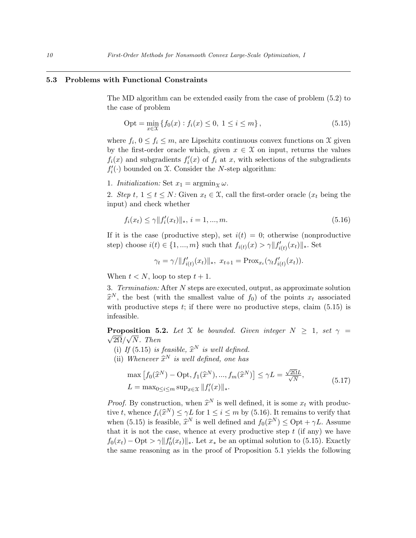# 5.3 Problems with Functional Constraints

The MD algorithm can be extended easily from the case of problem (5.2) to the case of problem

$$
Opt = \min_{x \in \mathcal{X}} \{ f_0(x) : f_i(x) \le 0, \ 1 \le i \le m \},\tag{5.15}
$$

where  $f_i$ ,  $0 \le f_i \le m$ , are Lipschitz continuous convex functions on X given by the first-order oracle which, given  $x \in \mathcal{X}$  on input, returns the values  $f_i(x)$  and subgradients  $f'_i(x)$  of  $f_i$  at  $x$ , with selections of the subgradients  $f_i'(\cdot)$  bounded on X. Consider the N-step algorithm:

1. Initialization: Set  $x_1 = \operatorname{argmin}_{\mathcal{X}} \omega$ .

2. Step t,  $1 \le t \le N$ : Given  $x_t \in \mathfrak{X}$ , call the first-order oracle  $(x_t$  being the input) and check whether

$$
f_i(x_t) \le \gamma \|f'_i(x_t)\|_*, \ i = 1, ..., m. \tag{5.16}
$$

If it is the case (productive step), set  $i(t) = 0$ ; otherwise (nonproductive step) choose  $i(t) \in \{1, ..., m\}$  such that  $f_{i(t)}(x) > \gamma ||f'_{i(t)}(x_t)||_*$ . Set

$$
\gamma_t = \gamma / \|f'_{i(t)}(x_t)\|_*, \ x_{t+1} = \text{Prox}_{x_t}(\gamma_t f'_{i(t)}(x_t)).
$$

When  $t < N$ , loop to step  $t + 1$ .

3. Termination: After N steps are executed, output, as approximate solution  $\hat{x}^N$ , the best (with the smallest value of  $f_0$ ) of the points  $x_t$  associated with productive stops to if there were no productive stops, slaim (5.15) is with productive steps  $t$ ; if there were no productive steps, claim  $(5.15)$  is infeasible.

**Proposition 5.2.** Let X be bounded. Given integer  $N \geq 1$ , set  $\gamma = \sqrt{N}$  $2\Omega/\sqrt{N}$ . Then

- (i) If (5.15) is feasible,  $\hat{x}^N$  is well defined.
- (ii) Whenever  $\hat{x}^N$  is well defined, one has

$$
\max [f_0(\hat{x}^N) - \text{Opt}, f_1(\hat{x}^N), ..., f_m(\hat{x}^N)] \le \gamma L = \frac{\sqrt{2\Omega}L}{\sqrt{N}},
$$
  
\n
$$
L = \max_{0 \le i \le m} \sup_{x \in \mathcal{X}} ||f'_i(x)||_*. \tag{5.17}
$$

*Proof.* By construction, when  $\hat{x}^N$  is well defined, it is some  $x_t$  with productive t, whence  $f_i(\hat{x}^N) \le \gamma L$  for  $1 \le i \le m$  by (5.16). It remains to verify that when  $(5.15)$  is fossible  $\hat{x}^N$  is well defined and  $f_i(\hat{x}^N) \le \text{Out } |i|$  degrees when (5.15) is feasible,  $\hat{x}^N$  is well defined and  $f_0(\hat{x}^N) \leq \text{Opt} + \gamma L$ . Assume that it is not the case, whence at every productive step  $t$  (if any) we have  $f_0(x_t) - \text{Opt} > \gamma ||f'_0(x_t)||_*$ . Let  $x_*$  be an optimal solution to (5.15). Exactly the same reasoning as in the proof of Proposition 5.1 yields the following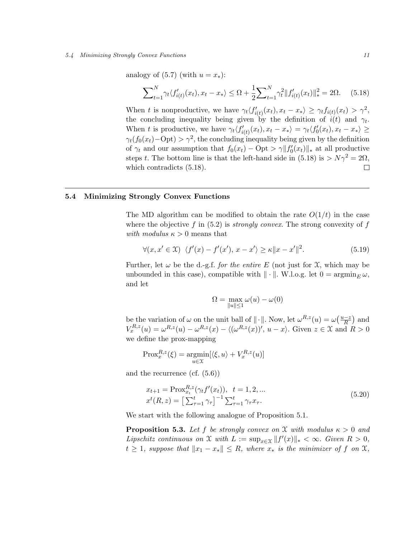#### 5.4 Minimizing Strongly Convex Functions 11

analogy of  $(5.7)$  (with  $u = x_*$ ):

$$
\sum_{t=1}^{N} \gamma_t \langle f'_{i(t)}(x_t), x_t - x_* \rangle \leq \Omega + \frac{1}{2} \sum_{t=1}^{N} \gamma_t^2 \| f'_{i(t)}(x_t) \|_*^2 = 2\Omega. \tag{5.18}
$$

When t is nonproductive, we have  $\gamma_t \langle f'_{i(t)}(x_t), x_t - x_* \rangle \geq \gamma_t f_{i(t)}(x_t) > \gamma^2$ , the concluding inequality being given by the definition of  $i(t)$  and  $\gamma_t$ . When t is productive, we have  $\gamma_t \langle f'_{i(t)}(x_t), x_t - x_* \rangle = \gamma_t \langle f'_0(x_t), x_t - x_* \rangle \geq$  $\gamma_t(f_0(x_t)-\text{Opt}) > \gamma^2$ , the concluding inequality being given by the definition of  $\gamma_t$  and our assumption that  $f_0(x_t) - \text{Opt} > \gamma ||f'_0(x_t)||_*$  at all productive steps t. The bottom line is that the left-hand side in (5.18) is  $> N\gamma^2 = 2\Omega$ ,  $\Box$ which contradicts (5.18).

# 5.4 Minimizing Strongly Convex Functions

The MD algorithm can be modified to obtain the rate  $O(1/t)$  in the case where the objective f in  $(5.2)$  is *strongly convex*. The strong convexity of f with modulus  $\kappa > 0$  means that

$$
\forall (x, x' \in \mathcal{X}) \ \langle f'(x) - f'(x'), x - x' \rangle \ge \kappa ||x - x'||^2. \tag{5.19}
$$

Further, let  $\omega$  be the d.-g.f. for the entire E (not just for X, which may be unbounded in this case), compatible with  $\|\cdot\|$ . W.l.o.g. let  $0 = \operatorname{argmin}_{E} \omega$ , and let

$$
\Omega = \max_{\|u\| \le 1} \omega(u) - \omega(0)
$$

be the variation of  $\omega$  on the unit ball of  $\|\cdot\|$ . Now, let  $\omega^{R,z}(u) = \omega\left(\frac{u-z}{R}\right)$  $\frac{-z}{R}$  and  $V_x^{R,z}(u) = \omega^{R,z}(u) - \omega^{R,z}(x) - \langle (\omega^{R,z}(x))', u - x \rangle$ . Given  $z \in \mathfrak{X}$  and  $R > 0$ we define the prox-mapping

$$
Prox_x^{R,z}(\xi) = \underset{u \in \mathcal{X}}{\operatorname{argmin}} [\langle \xi, u \rangle + V_x^{R,z}(u)]
$$

and the recurrence (cf. (5.6))

$$
x_{t+1} = \text{Prox}_{x_t}^{R,z}(\gamma_t f'(x_t)), \quad t = 1, 2, ...
$$
  

$$
x^t(R, z) = \left[\sum_{\tau=1}^t \gamma_\tau\right]^{-1} \sum_{\tau=1}^t \gamma_\tau x_\tau.
$$
 (5.20)

We start with the following analogue of Proposition 5.1.

**Proposition 5.3.** Let f be strongly convex on X with modulus  $\kappa > 0$  and Lipschitz continuous on X with  $L := \sup_{x \in \mathcal{X}} ||f'(x)||_* < \infty$ . Given  $R > 0$ ,  $t \geq 1$ , suppose that  $||x_1 - x_*|| \leq R$ , where  $x_*$  is the minimizer of f on  $\mathfrak{X},$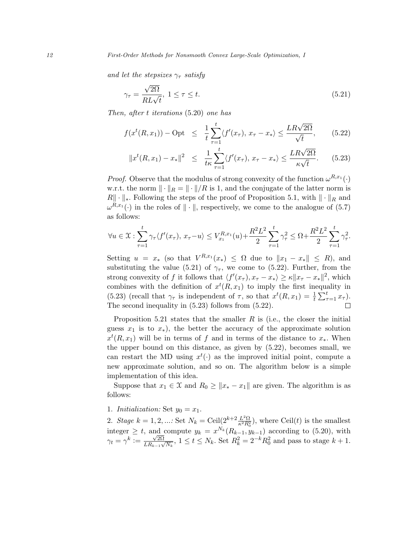and let the stepsizes  $\gamma_{\tau}$  satisfy

$$
\gamma_{\tau} = \frac{\sqrt{2\Omega}}{RL\sqrt{t}}, \ 1 \le \tau \le t. \tag{5.21}
$$

Then, after t iterations (5.20) one has

$$
f(x^{t}(R,x_{1})) - \text{Opt} \leq \frac{1}{t} \sum_{\tau=1}^{t} \langle f'(x_{\tau}), x_{\tau} - x_{*} \rangle \leq \frac{LR\sqrt{2\Omega}}{\sqrt{t}}, \quad (5.22)
$$

$$
||x^t(R, x_1) - x_*||^2 \le \frac{1}{t\kappa} \sum_{\tau=1}^t \langle f'(x_\tau), x_\tau - x_* \rangle \le \frac{LR\sqrt{2\Omega}}{\kappa\sqrt{t}}.
$$
 (5.23)

*Proof.* Observe that the modulus of strong convexity of the function  $\omega^{R,x_1}(\cdot)$ w.r.t. the norm  $\|\cdot\|_R = \|\cdot\|/R$  is 1, and the conjugate of the latter norm is  $R\|\cdot\|_*$ . Following the steps of the proof of Proposition 5.1, with  $\|\cdot\|_R$  and  $\omega^{R,x_1}(\cdot)$  in the roles of  $\|\cdot\|$ , respectively, we come to the analogue of (5.7) as follows:

$$
\forall u \in \mathcal{X} : \sum_{\tau=1}^{t} \gamma_{\tau} \langle f'(x_{\tau}), x_{\tau} - u \rangle \leq V_{x_1}^{R, x_1}(u) + \frac{R^2 L^2}{2} \sum_{\tau=1}^{t} \gamma_{\tau}^2 \leq \Omega + \frac{R^2 L^2}{2} \sum_{\tau=1}^{t} \gamma_{\tau}^2.
$$

Setting  $u = x_*$  (so that  $V^{R,x_1}(x_*) \leq \Omega$  due to  $||x_1 - x_*|| \leq R$ ), and substituting the value (5.21) of  $\gamma_{\tau}$ , we come to (5.22). Further, from the strong convexity of f it follows that  $\langle f'(x_\tau), x_\tau - x_* \rangle \ge \kappa ||x_\tau - x_*||^2$ , which combines with the definition of  $x^t(R, x_1)$  to imply the first inequality in (5.23) (recall that  $\gamma_{\tau}$  is independent of  $\tau$ , so that  $x^t(R, x_1) = \frac{1}{t} \sum_{\tau=1}^t x_{\tau}$ ). The second inequality in (5.23) follows from (5.22).  $\Box$ 

Proposition 5.21 states that the smaller  $R$  is (i.e., the closer the initial guess  $x_1$  is to  $x_*$ ), the better the accuracy of the approximate solution  $x^t(R, x_1)$  will be in terms of f and in terms of the distance to  $x_*$ . When the upper bound on this distance, as given by (5.22), becomes small, we can restart the MD using  $x^t(\cdot)$  as the improved initial point, compute a new approximate solution, and so on. The algorithm below is a simple implementation of this idea.

Suppose that  $x_1 \in \mathfrak{X}$  and  $R_0 \geq ||x_* - x_1||$  are given. The algorithm is as follows:

1. Initialization: Set  $y_0 = x_1$ .

2. Stage  $k = 1, 2, ...$ : Set  $N_k = \text{Ceil}(2^{k+2} \frac{L^2 \Omega}{\kappa^2 R_0^2})$ , where Ceil(t) is the smallest integer  $\geq t$ , and compute  $y_k = x^{N_k}(R_{k-1}, y_{k-1})$  according to (5.20), with  $\gamma_t = \gamma^k \vcentcolon= \frac{\sqrt{2\Omega}}{LR}$  $\frac{\sqrt{2\Omega}}{LR_{k-1}\sqrt{N_k}}$ ,  $1 \le t \le N_k$ . Set  $R_k^2 = 2^{-k}R_0^2$  and pass to stage  $k+1$ .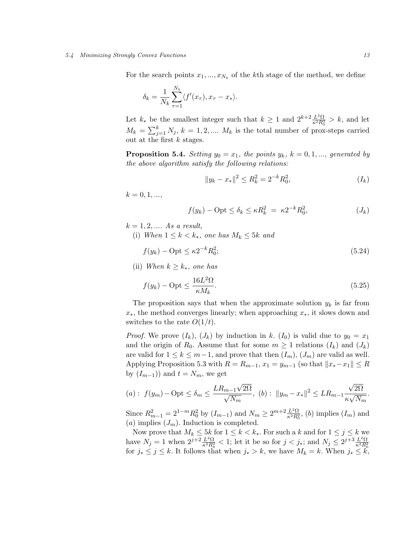#### 5.4 Minimizing Strongly Convex Functions 13

For the search points  $x_1, ..., x_{N_k}$  of the kth stage of the method, we define

$$
\delta_k = \frac{1}{N_k} \sum_{\tau=1}^{N_k} \langle f'(x_\tau), x_\tau - x_* \rangle.
$$

Let  $k_*$  be the smallest integer such that  $k \geq 1$  and  $2^{k+2} \frac{L^2 \Omega}{\kappa^2 R_0^2} > k$ , and let  $M_k = \sum_{j=1}^k N_j, k = 1, 2, \dots, M_k$  is the total number of prox-steps carried out at the first  $k$  stages.

**Proposition 5.4.** Setting  $y_0 = x_1$ , the points  $y_k$ ,  $k = 0, 1, ...,$  generated by the above algorithm satisfy the following relations:

$$
||y_k - x_*||^2 \le R_k^2 = 2^{-k} R_0^2,
$$
\n
$$
(I_k)
$$

 $k = 0, 1, ...,$ 

$$
f(y_k) - \text{Opt} \le \delta_k \le \kappa R_k^2 = \kappa 2^{-k} R_0^2, \tag{J_k}
$$

 $k = 1, 2, \dots$  As a result,

(i) When  $1 \leq k \leq k_*$ , one has  $M_k \leq 5k$  and

$$
f(y_k) - \text{Opt} \le \kappa 2^{-k} R_0^2; \tag{5.24}
$$

(ii) When  $k \geq k_*$ , one has

$$
f(y_k) - \text{Opt} \le \frac{16L^2\Omega}{\kappa M_k}.\tag{5.25}
$$

The proposition says that when the approximate solution  $y_k$  is far from  $x<sub>*</sub>$ , the method converges linearly; when approaching  $x<sub>*</sub>$ , it slows down and switches to the rate  $O(1/t)$ .

*Proof.* We prove  $(I_k)$ ,  $(J_k)$  by induction in k.  $(I_0)$  is valid due to  $y_0 = x_1$ and the origin of  $R_0$ . Assume that for some  $m \geq 1$  relations  $(I_k)$  and  $(J_k)$ are valid for  $1 \leq k \leq m-1$ , and prove that then  $(I_m)$ ,  $(J_m)$  are valid as well. Applying Proposition 5.3 with  $R = R_{m-1}$ ,  $x_1 = y_{m-1}$  (so that  $||x_* - x_1|| \leq R$ by  $(I_{m-1})$  and  $t = N_m$ , we get

(a): 
$$
f(y_m) - \text{Opt} \le \delta_m \le \frac{LR_{m-1}\sqrt{2\Omega}}{\sqrt{N_m}}
$$
, (b):  $||y_m - x_*||^2 \le LR_{m-1}\frac{\sqrt{2\Omega}}{\kappa \sqrt{N_m}}$ .

Since  $R_{m-1}^2 = 2^{1-m} R_0^2$  by  $(I_{m-1})$  and  $N_m \ge 2^{m+2} \frac{L^2 \Omega}{\kappa^2 R_0^2}$ , (b) implies  $(I_m)$  and (a) implies  $(J_m)$ . Induction is completed.

Now prove that  $M_k \leq 5k$  for  $1 \leq k \leq k_*$ . For such a k and for  $1 \leq j \leq k$  we have  $N_j = 1$  when  $2^{j+2} \frac{L^2 \Omega}{\kappa^2 R_0^2} < 1$ ; let it be so for  $j < j_*$ ; and  $N_j \leq 2^{j+3} \frac{L^2 \Omega}{\kappa^2 R_0^2}$  for  $j_* \leq j \leq k$ . It follows that when  $j_* > k$ , we have  $M_k = k$ . When  $j_* \leq k$ ,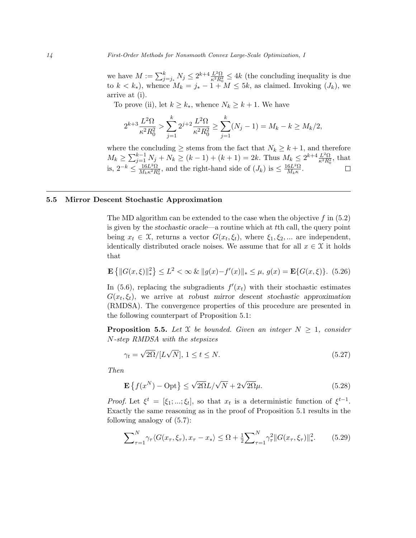we have  $M := \sum_{j=j_*}^{k} N_j \leq 2^{k+4} \frac{L^2 \Omega}{\kappa^2 R_0^2} \leq 4k$  (the concluding inequality is due to  $k < k_*$ ), whence  $M_k = j_* - 1 + M \leq 5k$ , as claimed. Invoking  $(J_k)$ , we arrive at (i).

To prove (ii), let  $k \geq k_*$ , whence  $N_k \geq k+1$ . We have

$$
2^{k+3}\frac{L^2\Omega}{\kappa^2 R_0^2} > \sum_{j=1}^k 2^{j+2}\frac{L^2\Omega}{\kappa^2 R_0^2} \ge \sum_{j=1}^k (N_j - 1) = M_k - k \ge M_k/2,
$$

where the concluding  $\geq$  stems from the fact that  $N_k \geq k+1$ , and therefore  $M_k \geq \sum_{j=1}^{k-1} N_j + N_k \geq (k-1) + (k+1) = 2k$ . Thus  $M_k \leq 2^{k+4} \frac{L^2 \Omega}{\kappa^2 R_0^2}$ , that is,  $2^{-k} \leq \frac{16L^2\Omega}{M \cdot \kappa^2 B}$  $\frac{16L^2\Omega}{M_k\kappa^2R_0^2}$ , and the right-hand side of  $(J_k)$  is  $\leq \frac{16L^2\Omega}{M_k\kappa}$  $\frac{6L^2\Omega}{M_k\kappa}$ .

# 5.5 Mirror Descent Stochastic Approximation

The MD algorithm can be extended to the case when the objective  $f$  in  $(5.2)$ is given by the stochastic oracle—a routine which at tth call, the query point being  $x_t \in \mathfrak{X}$ , returns a vector  $G(x_t, \xi_t)$ , where  $\xi_1, \xi_2, \dots$  are independent, identically distributed oracle noises. We assume that for all  $x \in \mathcal{X}$  it holds that

$$
\mathbf{E}\left\{||G(x,\xi)||_*^2\right\} \le L^2 < \infty \& ||g(x) - f'(x)||_* \le \mu, \ g(x) = \mathbf{E}\{G(x,\xi)\}.\tag{5.26}
$$

In (5.6), replacing the subgradients  $f'(x_t)$  with their stochastic estimates  $G(x_t, \xi_t)$ , we arrive at robust mirror descent stochastic approximation (RMDSA). The convergence properties of this procedure are presented in the following counterpart of Proposition 5.1:

**Proposition 5.5.** Let X be bounded. Given an integer  $N \geq 1$ , consider N-step RMDSA with the stepsizes

$$
\gamma_t = \sqrt{2\Omega}/[L\sqrt{N}], \ 1 \le t \le N. \tag{5.27}
$$

Then

$$
\mathbf{E}\left\{f(x^N) - \text{Opt}\right\} \le \sqrt{2\Omega}L/\sqrt{N} + 2\sqrt{2\Omega}\mu. \tag{5.28}
$$

Proof. Let  $\xi^t = [\xi_1; ...; \xi_t]$ , so that  $x_t$  is a deterministic function of  $\xi^{t-1}$ . Exactly the same reasoning as in the proof of Proposition 5.1 results in the following analogy of (5.7):

$$
\sum_{\tau=1}^{N} \gamma_{\tau} \langle G(x_{\tau}, \xi_{\tau}), x_{\tau} - x_{*} \rangle \leq \Omega + \frac{1}{2} \sum_{\tau=1}^{N} \gamma_{\tau}^{2} \| G(x_{\tau}, \xi_{\tau}) \|_{*}^{2}.
$$
 (5.29)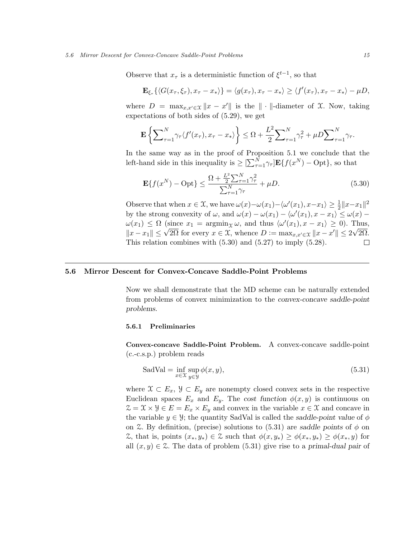#### 5.6 Mirror Descent for Convex-Concave Saddle-Point Problems 15

Observe that  $x_{\tau}$  is a deterministic function of  $\xi^{t-1}$ , so that

$$
\mathbf{E}_{\xi_{\tau}}\left\{ \langle G(x_{\tau},\xi_{\tau}),x_{\tau}-x_*\rangle \right\} = \langle g(x_{\tau}),x_{\tau}-x_*\rangle \geq \langle f'(x_{\tau}),x_{\tau}-x_*\rangle - \mu D,
$$

where  $D = \max_{x,x' \in \mathcal{X}} \|x - x'\|$  is the  $\|\cdot\|$ -diameter of X. Now, taking expectations of both sides of (5.29), we get

$$
\mathbf{E}\left\{\sum_{\tau=1}^N \gamma_\tau \langle f'(x_\tau), x_\tau - x_*\rangle\right\} \leq \Omega + \frac{L^2}{2} \sum_{\tau=1}^N \gamma_\tau^2 + \mu D \sum_{\tau=1}^N \gamma_\tau.
$$

In the same way as in the proof of Proposition 5.1 we conclude that the left-hand side in this inequality is  $\geq \left[\sum_{\tau=1}^{N} \gamma_{\tau}\right] \mathbf{E} \{f(x^N) - \text{Opt}\},$  so that

$$
\mathbf{E}\{f(x^N) - \text{Opt}\} \le \frac{\Omega + \frac{L^2}{2}\sum_{\tau=1}^N \gamma_\tau^2}{\sum_{\tau=1}^N \gamma_\tau} + \mu D. \tag{5.30}
$$

Observe that when  $x \in \mathfrak{X}$ , we have  $\omega(x) - \omega(x_1) - \langle \omega'(x_1), x - x_1 \rangle \geq \frac{1}{2} ||x - x_1||^2$ by the strong convexity of  $\omega$ , and  $\omega(x) - \omega(x_1) - \langle \omega'(x_1), x - x_1 \rangle \leq \omega(x) - \frac{1}{2} \omega(x)$  $\omega(x_1) \leq \Omega \text{ (since } x_1 = \text{argmin}_{\mathcal{X}} \omega, \text{ and thus } \langle \omega'(x_1), x - x_1 \rangle \geq 0. \text{ Thus,}$  $\|x - x_1\| \leq \sqrt{2\Omega}$  for every  $x \in \mathcal{X}$ , whence  $D := \max_{x,x' \in \mathcal{X}} \|x - x'\| \leq 2\sqrt{2\Omega}$ . This relation combines with (5.30) and (5.27) to imply (5.28).  $\Box$ 

# 5.6 Mirror Descent for Convex-Concave Saddle-Point Problems

Now we shall demonstrate that the MD scheme can be naturally extended from problems of convex minimization to the convex-concave saddle-point problems.

## 5.6.1 Preliminaries

Convex-concave Saddle-Point Problem. A convex-concave saddle-point (c.-c.s.p.) problem reads

$$
SadVal = \inf_{x \in \mathcal{X}} \sup_{y \in \mathcal{Y}} \phi(x, y),
$$
\n(5.31)

where  $\mathfrak{X} \subset E_x$ ,  $\mathfrak{Y} \subset E_y$  are nonempty closed convex sets in the respective Euclidean spaces  $E_x$  and  $E_y$ . The cost function  $\phi(x, y)$  is continuous on  $\mathcal{Z} = \mathcal{X} \times \mathcal{Y} \in E = E_x \times E_y$  and convex in the variable  $x \in \mathcal{X}$  and concave in the variable  $y \in \mathcal{Y}$ ; the quantity SadVal is called the saddle-point value of  $\phi$ on Z. By definition, (precise) solutions to (5.31) are saddle points of  $\phi$  on  $\mathcal{Z}$ , that is, points  $(x_*, y_*) \in \mathcal{Z}$  such that  $\phi(x, y_*) \geq \phi(x_*, y_*) \geq \phi(x_*, y)$  for all  $(x, y) \in \mathcal{Z}$ . The data of problem (5.31) give rise to a primal-dual pair of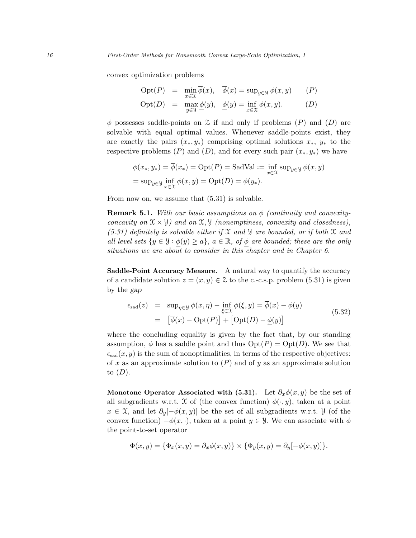convex optimization problems

$$
\text{Opt}(P) = \min_{x \in \mathcal{X}} \overline{\phi}(x), \quad \overline{\phi}(x) = \sup_{y \in \mathcal{Y}} \phi(x, y) \quad (P)
$$
\n
$$
\text{Opt}(D) = \max_{y \in \mathcal{Y}} \underline{\phi}(y), \quad \underline{\phi}(y) = \inf_{x \in \mathcal{X}} \phi(x, y). \quad (D)
$$

 $\phi$  possesses saddle-points on  $\mathcal Z$  if and only if problems  $(P)$  and  $(D)$  are solvable with equal optimal values. Whenever saddle-points exist, they are exactly the pairs  $(x_*, y_*)$  comprising optimal solutions  $x_*, y_*$  to the respective problems  $(P)$  and  $(D)$ , and for every such pair  $(x_*, y_*)$  we have

$$
\phi(x_*, y_*) = \overline{\phi}(x_*) = \text{Opt}(P) = \text{SadVal} := \inf_{x \in \mathcal{X}} \sup_{y \in \mathcal{Y}} \phi(x, y)
$$

$$
= \sup_{y \in \mathcal{Y}} \inf_{x \in \mathcal{X}} \phi(x, y) = \text{Opt}(D) = \underline{\phi}(y_*).
$$

From now on, we assume that  $(5.31)$  is solvable.

**Remark 5.1.** With our basic assumptions on  $\phi$  (continuity and convexityconcavity on  $\mathfrak{X} \times \mathfrak{Y}$  and on  $\mathfrak{X}, \mathfrak{Y}$  (nonemptiness, convexity and closedness),  $(5.31)$  definitely is solvable either if X and Y are bounded, or if both X and all level sets  $\{y \in \mathcal{Y} : \phi(y) \geq a\}, a \in \mathbb{R}, of \phi \text{ are bounded; these are the only }$ situations we are about to consider in this chapter and in Chapter 6.

Saddle-Point Accuracy Measure. A natural way to quantify the accuracy of a candidate solution  $z = (x, y) \in \mathcal{Z}$  to the c.-c.s.p. problem (5.31) is given by the gap

$$
\epsilon_{\text{sad}}(z) = \sup_{\eta \in \mathcal{Y}} \phi(x, \eta) - \inf_{\xi \in \mathcal{X}} \phi(\xi, y) = \overline{\phi}(x) - \underline{\phi}(y)
$$
  
=  $[\overline{\phi}(x) - \text{Opt}(P)] + [\text{Opt}(D) - \underline{\phi}(y)]$  (5.32)

where the concluding equality is given by the fact that, by our standing assumption,  $\phi$  has a saddle point and thus  $Opt(P) = Opt(D)$ . We see that  $\epsilon_{\text{sad}}(x, y)$  is the sum of nonoptimalities, in terms of the respective objectives: of x as an approximate solution to  $(P)$  and of y as an approximate solution to  $(D)$ .

Monotone Operator Associated with (5.31). Let  $\partial_x \phi(x, y)$  be the set of all subgradients w.r.t. X of (the convex function)  $\phi(\cdot, y)$ , taken at a point  $x \in \mathfrak{X}$ , and let  $\partial_y[-\phi(x, y)]$  be the set of all subgradients w.r.t.  $\mathcal{Y}$  (of the convex function)  $-\phi(x, \cdot)$ , taken at a point  $y \in \mathcal{Y}$ . We can associate with  $\phi$ the point-to-set operator

$$
\Phi(x,y) = \{\Phi_x(x,y) = \partial_x \phi(x,y)\} \times \{\Phi_y(x,y) = \partial_y[-\phi(x,y)]\}.
$$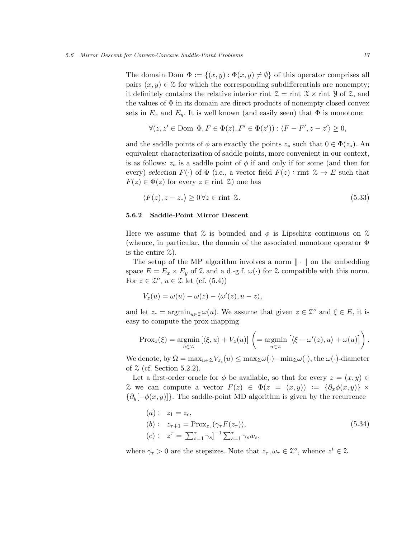The domain Dom  $\Phi := \{(x, y) : \Phi(x, y) \neq \emptyset\}$  of this operator comprises all pairs  $(x, y) \in \mathcal{Z}$  for which the corresponding subdifferentials are nonempty; it definitely contains the relative interior rint  $\mathcal{Z} = \text{rint } \mathcal{X} \times \text{rint } \mathcal{Y}$  of  $\mathcal{Z}$ , and the values of  $\Phi$  in its domain are direct products of nonempty closed convex sets in  $E_x$  and  $E_y$ . It is well known (and easily seen) that  $\Phi$  is monotone:

$$
\forall (z, z' \in \text{Dom } \Phi, F \in \Phi(z), F' \in \Phi(z')) : \langle F - F', z - z' \rangle \ge 0,
$$

and the saddle points of  $\phi$  are exactly the points  $z_*$  such that  $0 \in \Phi(z_*)$ . An equivalent characterization of saddle points, more convenient in our context, is as follows:  $z_*$  is a saddle point of  $\phi$  if and only if for some (and then for every) selection  $F(\cdot)$  of  $\Phi$  (i.e., a vector field  $F(z)$ : rint  $\mathcal{Z} \to E$  such that  $F(z) \in \Phi(z)$  for every  $z \in \text{rint } \mathcal{Z}$  one has

$$
\langle F(z), z - z_* \rangle \ge 0 \,\forall z \in \text{rint } \mathcal{Z}.
$$
\n
$$
(5.33)
$$

# 5.6.2 Saddle-Point Mirror Descent

Here we assume that  $\mathcal Z$  is bounded and  $\phi$  is Lipschitz continuous on  $\mathcal Z$ (whence, in particular, the domain of the associated monotone operator  $\Phi$ is the entire  $\mathfrak{Z}$ ).

The setup of the MP algorithm involves a norm  $\|\cdot\|$  on the embedding space  $E = E_x \times E_y$  of Z and a d.-g.f.  $\omega(\cdot)$  for Z compatible with this norm. For  $z \in \mathbb{Z}^o$ ,  $u \in \mathbb{Z}$  let (cf. (5.4))

$$
V_z(u) = \omega(u) - \omega(z) - \langle \omega'(z), u - z \rangle,
$$

and let  $z_c = \operatorname{argmin}_{u \in \mathcal{Z}} \omega(u)$ . We assume that given  $z \in \mathcal{Z}^o$  and  $\xi \in E$ , it is easy to compute the prox-mapping

$$
\text{Prox}_{z}(\xi) = \underset{u \in \mathcal{Z}}{\text{argmin}} \left[ \langle \xi, u \rangle + V_{z}(u) \right] \left( = \underset{u \in \mathcal{Z}}{\text{argmin}} \left[ \langle \xi - \omega'(z), u \rangle + \omega(u) \right] \right).
$$

We denote, by  $\Omega = \max_{u \in \mathcal{Z}} V_{z_c}(u) \leq \max_{\mathcal{Z}} \omega(\cdot) - \min_{\mathcal{Z}} \omega(\cdot)$ , the  $\omega(\cdot)$ -diameter of  $\mathcal Z$  (cf. Section 5.2.2).

Let a first-order oracle for  $\phi$  be available, so that for every  $z = (x, y) \in$ Z we can compute a vector  $F(z) \in \Phi(z = (x, y)) := {\partial_x \phi(x, y)} \times$  ${\partial_y[-\phi(x,y)]}.$  The saddle-point MD algorithm is given by the recurrence

(a): 
$$
z_1 = z_c
$$
,  
\n(b):  $z_{\tau+1} = \text{Prox}_{z_{\tau}}(\gamma_{\tau} F(z_{\tau})),$   
\n(c):  $z^{\tau} = [\sum_{s=1}^{\tau} \gamma_s]^{-1} \sum_{s=1}^{\tau} \gamma_s w_s,$  (5.34)

where  $\gamma_{\tau} > 0$  are the stepsizes. Note that  $z_{\tau}, \omega_{\tau} \in \mathcal{Z}^o$ , whence  $z^t \in \mathcal{Z}$ .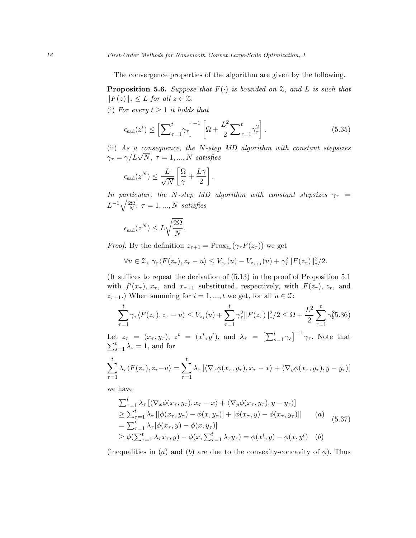The convergence properties of the algorithm are given by the following.

**Proposition 5.6.** Suppose that  $F(\cdot)$  is bounded on  $\mathcal{Z}$ , and  $L$  is such that  $||F(z)||_* \leq L$  for all  $z \in \mathcal{Z}$ .

(i) For every  $t \geq 1$  it holds that

$$
\epsilon_{\rm sad}(z^t) \le \left[\sum_{\tau=1}^t \gamma_\tau\right]^{-1} \left[\Omega + \frac{L^2}{2} \sum_{\tau=1}^t \gamma_\tau^2\right].\tag{5.35}
$$

(ii) As a consequence, the N-step MD algorithm with constant stepsizes (ii) As a consequence, the *N*-step<br>  $\gamma_{\tau} = \gamma / L \sqrt{N}, \tau = 1, ..., N$  satisfies

$$
\epsilon_{\rm sad}(z^N) \le \frac{L}{\sqrt{N}} \left[ \frac{\Omega}{\gamma} + \frac{L\gamma}{2} \right].
$$

In particular, the N-step MD algorithm with constant stepsizes  $\gamma_{\tau}$  =  $L^{-1}\sqrt{\frac{2\Omega}{N}}$  $\frac{2\Omega}{N},~\tau=1,...,N~satisfies$ 

$$
\epsilon_{\rm sad}(z^N) \leq L \sqrt{\frac{2\Omega}{N}}.
$$

*Proof.* By the definition  $z_{\tau+1} = \text{Prox}_{z_{\tau}}(\gamma_{\tau} F(z_{\tau}))$  we get

$$
\forall u \in \mathcal{Z}, \ \gamma_\tau \langle F(z_\tau), z_\tau - u \rangle \le V_{z_\tau}(u) - V_{z_{\tau+1}}(u) + \gamma_\tau^2 \|F(z_\tau)\|_*^2/2.
$$

(It suffices to repeat the derivation of (5.13) in the proof of Proposition 5.1 with  $f'(x_{\tau}), x_{\tau}$ , and  $x_{\tau+1}$  substituted, respectively, with  $F(z_{\tau}), z_{\tau}$ , and  $z_{\tau+1}$ .) When summing for  $i = 1, ..., t$  we get, for all  $u \in \mathcal{Z}$ :

$$
\sum_{\tau=1}^t \gamma_\tau \langle F(z_\tau), z_\tau - u \rangle \le V_{z_1}(u) + \sum_{\tau=1}^t \gamma_\tau^2 \|F(z_\tau)\|_{*}^2 / 2 \le \Omega + \frac{L^2}{2} \sum_{\tau=1}^t \gamma_k^2 5.36
$$

Let  $z_{\tau} = (x_{\tau}, y_{\tau}), z^{t} = (x^{t}, y^{t}), \text{ and } \lambda_{\tau} = \left[\sum_{s=1}^{t} \gamma_{s}\right]^{-1}$ P  $t$   $z_{\tau} = (x_{\tau}, y_{\tau}), z^{t} = (x^{t}, y^{t}),$  and  $\lambda_{\tau} = \left[\sum_{s=1}^{t} \gamma_{s}\right]^{-1} \gamma_{\tau}$ . Note that  $t$ <sub>s=1</sub>  $\lambda_{s} = 1$ , and for

$$
\sum_{\tau=1}^t \lambda_\tau \langle F(z_\tau), z_\tau - u \rangle = \sum_{\tau=1}^t \lambda_\tau \left[ \langle \nabla_x \phi(x_\tau, y_\tau), x_\tau - x \rangle + \langle \nabla_y \phi(x_\tau, y_\tau), y - y_\tau \rangle \right]
$$

we have

$$
\sum_{\tau=1}^{t} \lambda_{\tau} \left[ \langle \nabla_x \phi(x_{\tau}, y_{\tau}), x_{\tau} - x \rangle + \langle \nabla_y \phi(x_{\tau}, y_{\tau}), y - y_{\tau} \rangle \right] \n\geq \sum_{\tau=1}^{t} \lambda_{\tau} \left[ \left[ \phi(x_{\tau}, y_{\tau}) - \phi(x, y_{\tau}) \right] + \left[ \phi(x_{\tau}, y) - \phi(x_{\tau}, y_{\tau}) \right] \right] \qquad (a) \n= \sum_{\tau=1}^{t} \lambda_{\tau} [\phi(x_{\tau}, y) - \phi(x, y_{\tau})] \n\geq \phi(\sum_{\tau=1}^{t} \lambda_{\tau} x_{\tau}, y) - \phi(x, \sum_{\tau=1}^{t} \lambda_{\tau} y_{\tau}) = \phi(x^{t}, y) - \phi(x, y^{t}) \qquad (b)
$$

(inequalities in (a) and (b) are due to the convexity-concavity of  $\phi$ ). Thus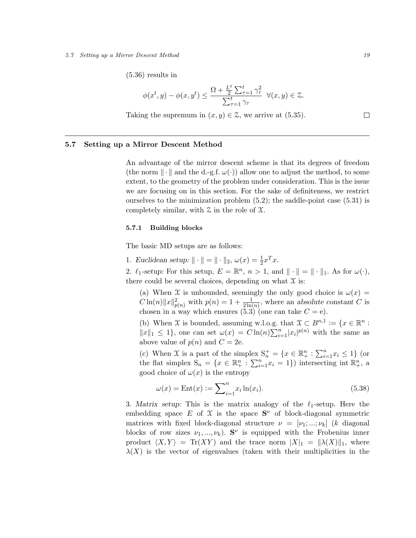#### 5.7 Setting up a Mirror Descent Method 19

(5.36) results in

$$
\phi(x^t, y) - \phi(x, y^t) \le \frac{\Omega + \frac{L^2}{2} \sum_{\tau=1}^t \gamma_\tau^2}{\sum_{\tau=1}^t \gamma_\tau} \quad \forall (x, y) \in \mathbb{Z}.
$$
  
Taking the supremum in  $(x, y) \in \mathbb{Z}$ , we arrive at (5.35).

5.7 Setting up a Mirror Descent Method

An advantage of the mirror descent scheme is that its degrees of freedom (the norm  $\|\cdot\|$  and the d.-g.f.  $\omega(\cdot)$ ) allow one to adjust the method, to some extent, to the geometry of the problem under consideration. This is the issue we are focusing on in this section. For the sake of definiteness, we restrict ourselves to the minimization problem  $(5.2)$ ; the saddle-point case  $(5.31)$  is completely similar, with  $\mathfrak X$  in the role of  $\mathfrak X$ .

# 5.7.1 Building blocks

The basic MD setups are as follows:

1. Euclidean setup:  $\|\cdot\| = \|\cdot\|_2$ ,  $\omega(x) = \frac{1}{2}x^Tx$ .

2.  $\ell_1$ -setup: For this setup,  $E = \mathbb{R}^n$ ,  $n > 1$ , and  $\|\cdot\| = \|\cdot\|_1$ . As for  $\omega(\cdot)$ , there could be several choices, depending on what  $\mathfrak X$  is:

(a) When X is unbounded, seemingly the only good choice is  $\omega(x) =$  $C \ln(n) ||x||^2_{p(n)}$  with  $p(n) = 1 + \frac{1}{2 \ln(n)}$ , where an absolute constant C is chosen in a way which ensures  $(5.3)$  (one can take  $C = e$ ).

(b) When X is bounded, assuming w.l.o.g. that  $\mathcal{X} \subset B^{n,1} := \{x \in \mathbb{R}^n :$  $||x||_1 \leq 1$ , one can set  $\omega(x) = C \ln(n) \sum_{i=1}^n |x_i|^{p(n)}$  with the same as above value of  $p(n)$  and  $C = 2e$ .

(c) When X is a part of the simplex  $S_n^+ = \{x \in \mathbb{R}_+^n : \sum_{i=1}^n x_i \leq 1\}$  (or the flat simplex  $S_n = \{x \in \mathbb{R}^n_+ : \sum_{i=1}^n x_i = 1\}$  intersecting int  $\mathbb{R}^n_+$ , a good choice of  $\omega(x)$  is the entropy

$$
\omega(x) = \text{Ent}(x) := \sum_{i=1}^{n} x_i \ln(x_i). \tag{5.38}
$$

3. Matrix setup: This is the matrix analogy of the  $\ell_1$ -setup. Here the embedding space E of X is the space  $S^{\nu}$  of block-diagonal symmetric matrices with fixed block-diagonal structure  $\nu = [\nu_1, ..., \nu_k]$  (k diagonal blocks of row sizes  $\nu_1, ..., \nu_k$ ). S<sup> $\nu$ </sup> is equipped with the Frobenius inner product  $\langle X, Y \rangle = \text{Tr}(XY)$  and the trace norm  $|X|_1 = ||\lambda(X)||_1$ , where  $\lambda(X)$  is the vector of eigenvalues (taken with their multiplicities in the

 $\Box$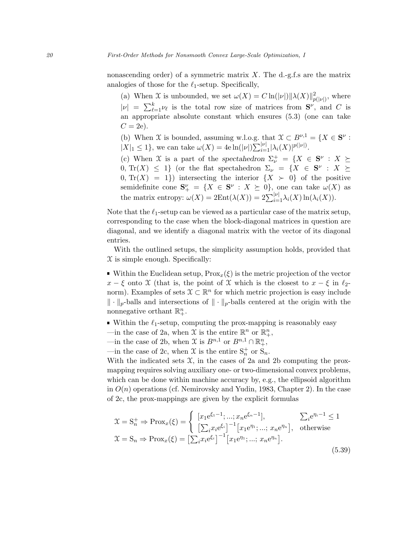nonascending order) of a symmetric matrix  $X$ . The d.-g.f.s are the matrix analogies of those for the  $\ell_1$ -setup. Specifically,

(a) When X is unbounded, we set  $\omega(X) = C \ln(|\nu|) ||\lambda(X)||_{p(|\nu|)}^2$ , where  $|\nu| = \sum_{\ell=1}^k \nu_\ell$  is the total row size of matrices from  $S^\nu$ , and C is an appropriate absolute constant which ensures (5.3) (one can take  $C = 2e$ .

(b) When X is bounded, assuming w.l.o.g. that  $\mathfrak{X} \subset B^{\nu,1} = \{X \in \mathbf{S}^{\nu} :$  $|X|_1 \leq 1$ , we can take  $\omega(X) = 4e \ln(|\nu|) \sum_{i=1}^{|\nu|} |\lambda_i(X)|^{p(|\nu|)}$ .

(c) When X is a part of the spectahedron  $\Sigma_{\nu}^{+} = \{X \in S^{\nu} : X \succeq$ 0, Tr(X)  $\leq$  1} (or the flat spectahedron  $\Sigma_{\nu} = \{X \in S^{\nu} : X \succeq$  $(0, \text{Tr}(X) = 1)$  intersecting the interior  $\{X \succ 0\}$  of the positive semidefinite cone  $S^{\nu}_{+} = \{X \in S^{\nu} : X \succeq 0\}$ , one can take  $\omega(X)$  as the matrix entropy:  $\omega(X) = 2\mathrm{Ent}(\lambda(X)) = 2\sum_{i=1}^{|\nu|} \lambda_i(X) \ln(\lambda_i(X)).$ 

Note that the  $\ell_1$ -setup can be viewed as a particular case of the matrix setup, corresponding to the case when the block-diagonal matrices in question are diagonal, and we identify a diagonal matrix with the vector of its diagonal entries.

With the outlined setups, the simplicity assumption holds, provided that  $\mathfrak X$  is simple enough. Specifically:

Within the Euclidean setup,  $Prox_{x}(\xi)$  is the metric projection of the vector  $x - \xi$  onto X (that is, the point of X which is the closest to  $x - \xi$  in  $\ell_2$ norm). Examples of sets  $\mathcal{X} \subset \mathbb{R}^n$  for which metric projection is easy include  $\|\cdot\|_p$ -balls and intersections of  $\|\cdot\|_p$ -balls centered at the origin with the nonnegative orthant  $\mathbb{R}^n_+$ .

- Within the  $\ell_1$ -setup, computing the prox-mapping is reasonably easy
- —in the case of 2a, when X is the entire  $\mathbb{R}^n$  or  $\mathbb{R}^n_+$ ,
- —in the case of 2b, when  $\mathfrak X$  is  $B^{n,1}$  or  $B^{n,1} \cap \mathbb{R}^n_+$ ,
- —in the case of 2c, when  $\mathfrak X$  is the entire  $S_n^+$  or  $S_n$ .

With the indicated sets  $\mathfrak{X}$ , in the cases of 2a and 2b computing the proxmapping requires solving auxiliary one- or two-dimensional convex problems, which can be done within machine accuracy by, e.g., the ellipsoid algorithm in  $O(n)$  operations (cf. Nemirovsky and Yudin, 1983, Chapter 2). In the case of 2c, the prox-mappings are given by the explicit formulas

$$
\mathcal{X} = \mathbf{S}_n^+ \Rightarrow \text{Prox}_x(\xi) = \begin{cases} [x_1 e^{\xi_1 - 1}; \dots; x_n e^{\xi_n - 1}], & \sum_i e^{\eta_i - 1} \le 1 \\ [\sum_i x_i e^{\xi_i}]^{-1} [x_1 e^{\eta_1}; \dots; x_n e^{\eta_n}], & \text{otherwise} \end{cases}
$$
  

$$
\mathcal{X} = \mathbf{S}_n \Rightarrow \text{Prox}_x(\xi) = [\sum_i x_i e^{\xi_i}]^{-1} [x_1 e^{\eta_1}; \dots; x_n e^{\eta_n}].
$$
 (5.39)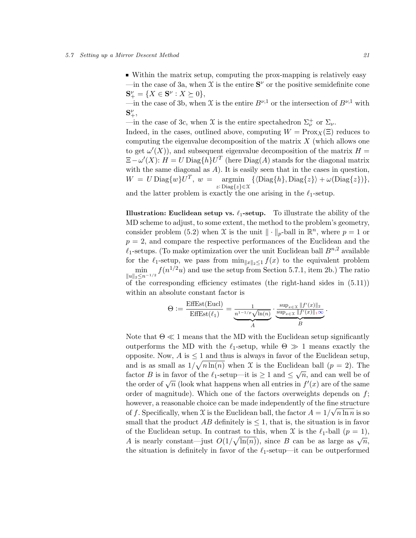Within the matrix setup, computing the prox-mapping is relatively easy —in the case of 3a, when  $\mathfrak X$  is the entire  $S^{\nu}$  or the positive semidefinite cone  $S_+^{\nu} = \{ X \in S^{\nu} : X \succeq 0 \},\$ 

—in the case of 3b, when X is the entire  $B^{\nu,1}$  or the intersection of  $B^{\nu,1}$  with  $\mathbf{S}^{\nu}_{+},$ 

—in the case of 3c, when X is the entire spectahedron  $\Sigma^+_{\nu}$  or  $\Sigma_{\nu}$ .

Indeed, in the cases, outlined above, computing  $W = \text{Prox}_X(\Xi)$  reduces to computing the eigenvalue decomposition of the matrix  $X$  (which allows one to get  $\omega'(X)$ , and subsequent eigenvalue decomposition of the matrix  $H =$  $\Xi - \omega'(X)$ :  $H = U \text{Diag}\{h\}U^T$  (here  $\text{Diag}(A)$  stands for the diagonal matrix with the same diagonal as  $A$ ). It is easily seen that in the cases in question,  $W = U \text{Diag}\{w\}U^T$ ,  $w = \text{argmin} \ \{\langle \text{Diag}\{h\}, \text{Diag}\{z\}\rangle + \omega(\text{Diag}\{z\})\},$ z: Diag{z}∈X

and the latter problem is exactly the one arising in the  $\ell_1$ -setup.

**Illustration: Euclidean setup vs.**  $\ell_1$ -setup. To illustrate the ability of the MD scheme to adjust, to some extent, the method to the problem's geometry, consider problem (5.2) when X is the unit  $\|\cdot\|_p$ -ball in  $\mathbb{R}^n$ , where  $p=1$  or  $p = 2$ , and compare the respective performances of the Euclidean and the  $\ell_1$ -setups. (To make optimization over the unit Euclidean ball  $B^{n,2}$  available for the  $\ell_1$ -setup, we pass from  $\min_{\|x\|_2\leq 1} f(x)$  to the equivalent problem  $\min_{\|u\|_2 \leq n^{-1/2}} f(n^{1/2}u)$  and use the setup from Section 5.7.1, item 2b.) The ratio of the corresponding efficiency estimates (the right-hand sides in (5.11)) within an absolute constant factor is

$$
\Theta := \frac{\text{EffEst}(\text{Eucl})}{\text{EffEst}(\ell_1)} = \underbrace{\frac{1}{n^{1-1/p}\sqrt{\ln(n)}}}_{A} \cdot \underbrace{\frac{\sup_{x \in \mathcal{X}} ||f'(x)||_2}{\sup_{x \in \mathcal{X}} ||f'(x)||_1 \infty}}_{B}.
$$

Note that  $\Theta \ll 1$  means that the MD with the Euclidean setup significantly outperforms the MD with the  $\ell_1$ -setup, while  $\Theta \gg 1$  means exactly the opposite. Now,  $A$  is  $\leq 1$  and thus is always in favor of the Euclidean setup, and is as small as  $1/\sqrt{n \ln(n)}$  when X is the Euclidean ball  $(p = 2)$ . The factor B is in favor of the  $\ell_1$ -setup—it is  $\geq 1$  and  $\leq \sqrt{n}$ , and can well be of the order of  $\sqrt{n}$  (look what happens when all entries in  $f'(x)$  are of the same order of magnitude). Which one of the factors overweights depends on  $f$ ; however, a reasonable choice can be made independently of the fine structure of f. Specifically, when X is the Euclidean ball, the factor  $A = 1/\sqrt{n \ln n}$  is so small that the product AB definitely is  $\leq 1$ , that is, the situation is in favor of the Euclidean setup. In contrast to this, when  $\mathfrak X$  is the  $\ell_1$ -ball  $(p = 1)$ , of the Euchdean setup. In contrast to this, when x is the  $\epsilon_1$ -ban  $(p-1)$ ,<br>A is nearly constant—just  $O(1/\sqrt{\ln(n)})$ , since B can be as large as  $\sqrt{n}$ , the situation is definitely in favor of the  $\ell_1$ -setup—it can be outperformed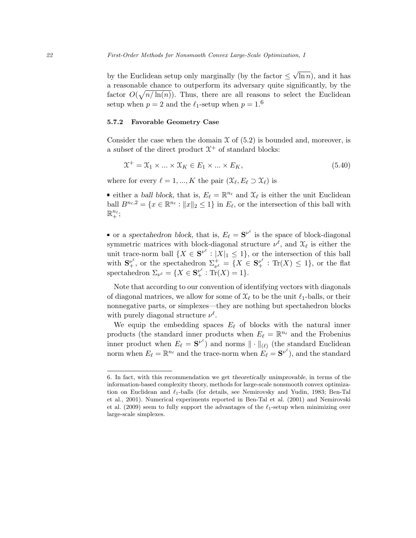by the Euclidean setup only marginally (by the factor  $\leq$ √  $\ln n$ , and it has a reasonable chance to outperform its adversary quite significantly, by the factor  $O(\sqrt{n/\ln(n)})$ . Thus, there are all reasons to select the Euclidean setup when  $p = 2$  and the  $\ell_1$ -setup when  $p = 1.6$ 

# 5.7.2 Favorable Geometry Case

Consider the case when the domain  $\mathfrak X$  of (5.2) is bounded and, moreover, is a subset of the direct product  $\mathfrak{X}^+$  of standard blocks:

$$
\mathfrak{X}^+ = \mathfrak{X}_1 \times \dots \times \mathfrak{X}_K \in E_1 \times \dots \times E_K,\tag{5.40}
$$

where for every  $\ell = 1, ..., K$  the pair  $(\mathcal{X}_{\ell}, E_{\ell} \supset \mathcal{X}_{\ell})$  is

either a ball block, that is,  $E_\ell = \mathbb{R}^{n_\ell}$  and  $\mathcal{X}_\ell$  is either the unit Euclidean ball  $B^{n_{\ell},2} = \{x \in \mathbb{R}^{n_{\ell}} : ||x||_2 \leq 1\}$  in  $E_{\ell}$ , or the intersection of this ball with  $\mathbb{R}^{n_{\ell}}_{+}$ ;

or a spectahedron block, that is,  $E_{\ell} = S^{\nu^{\ell}}$  is the space of block-diagonal symmetric matrices with block-diagonal structure  $\nu^{\ell}$ , and  $\mathfrak{X}_{\ell}$  is either the unit trace-norm ball  $\{X \in S^{\nu^{\ell}} : |X|_1 \leq 1\}$ , or the intersection of this ball with  $S_{+}^{\nu^{\ell}}$ , or the spectahedron  $\Sigma_{\nu^{\ell}}^{+} = \{X \in S_{+}^{\nu^{\ell}} : \text{Tr}(X) \leq 1\}$ , or the flat spectahedron  $\Sigma_{\nu^{\ell}} = \{ X \in \mathbf{S}_{+}^{\nu^{\ell}} : \text{Tr}(X) = 1 \}.$ 

Note that according to our convention of identifying vectors with diagonals of diagonal matrices, we allow for some of  $\mathfrak{X}_{\ell}$  to be the unit  $\ell_1$ -balls, or their nonnegative parts, or simplexes—they are nothing but spectahedron blocks with purely diagonal structure  $\nu^{\ell}$ .

We equip the embedding spaces  $E_\ell$  of blocks with the natural inner products (the standard inner products when  $E_{\ell} = \mathbb{R}^{n_{\ell}}$  and the Frobenius inner product when  $E_{\ell} = S^{\nu^{\ell}}$ ) and norms  $\|\cdot\|_{(\ell)}$  (the standard Euclidean norm when  $E_{\ell} = \mathbb{R}^{n_{\ell}}$  and the trace-norm when  $E_{\ell} = S^{\nu^{\ell}}$ ), and the standard

<sup>6.</sup> In fact, with this recommendation we get theoretically unimprovable, in terms of the information-based complexity theory, methods for large-scale nonsmooth convex optimization on Euclidean and  $\ell_1$ -balls (for details, see Nemirovsky and Yudin, 1983; Ben-Tal et al., 2001). Numerical experiments reported in Ben-Tal et al. (2001) and Nemirovski et al. (2009) seem to fully support the advantages of the  $\ell_1$ -setup when minimizing over large-scale simplexes.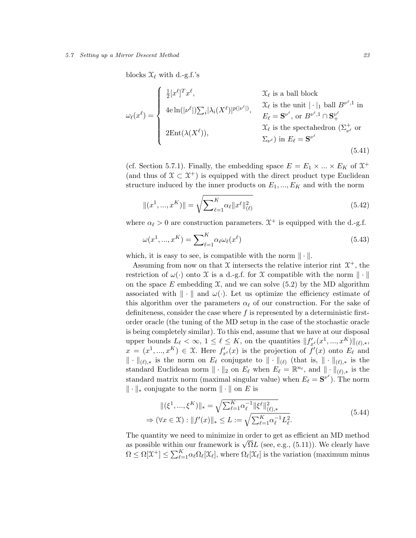#### 5.7 Setting up a Mirror Descent Method 23

blocks  $\mathfrak{X}_{\ell}$  with d.-g.f.'s

$$
\omega_{\ell}(x^{\ell}) = \begin{cases}\n\frac{1}{2} [x^{\ell}]^{T} x^{\ell}, & \mathcal{X}_{\ell} \text{ is a ball block} \\
4e \ln(|\nu^{\ell}|) \sum_{i} |\lambda_{i}(X^{\ell})|^{p(|\nu^{\ell}|)}, & \mathcal{X}_{\ell} \text{ is the unit } |\cdot|_{1} \text{ ball } B^{\nu^{\ell},1} \text{ in} \\
2\text{Ent}(\lambda(X^{\ell})), & \mathcal{X}_{\ell} \text{ is the spectraledron } (\Sigma_{\nu^{\ell}}^{+} \text{ or } \Sigma_{\nu^{\ell}}^{+})\text{ in } E_{\ell} = \mathbf{S}^{\nu^{\ell}}\n\end{cases}
$$
\n(5.41)

(cf. Section 5.7.1). Finally, the embedding space  $E = E_1 \times ... \times E_K$  of  $\mathfrak{X}^+$ (and thus of  $\mathfrak{X} \subset \mathfrak{X}^+$ ) is equipped with the direct product type Euclidean structure induced by the inner products on  $E_1, ..., E_K$  and with the norm

$$
||(x^1, ..., x^K)|| = \sqrt{\sum_{\ell=1}^K \alpha_\ell ||x^\ell||_{(\ell)}^2}
$$
\n(5.42)

where  $\alpha_{\ell} > 0$  are construction parameters.  $\mathfrak{X}^+$  is equipped with the d.-g.f.

$$
\omega(x^1, ..., x^K) = \sum_{\ell=1}^K \alpha_\ell \omega_\ell(x^\ell)
$$
\n(5.43)

which, it is easy to see, is compatible with the norm  $\|\cdot\|$ .

Assuming from now on that  $\mathfrak X$  intersects the relative interior rint  $\mathfrak X^+$ , the restriction of  $\omega(\cdot)$  onto X is a d.-g.f. for X compatible with the norm  $\|\cdot\|$ on the space E embedding  $\mathfrak{X}$ , and we can solve (5.2) by the MD algorithm associated with  $\|\cdot\|$  and  $\omega(\cdot)$ . Let us optimize the efficiency estimate of this algorithm over the parameters  $\alpha_{\ell}$  of our construction. For the sake of definiteness, consider the case where  $f$  is represented by a deterministic firstorder oracle (the tuning of the MD setup in the case of the stochastic oracle is being completely similar). To this end, assume that we have at our disposal upper bounds  $L_{\ell} < \infty$ ,  $1 \leq \ell \leq K$ , on the quantities  $||f'_{x^{\ell}}(x^1, ..., x^K)||_{(\ell), *},$  $x = (x^1, ..., x^K) \in \mathfrak{X}$ . Here  $f'_{x^{\ell}}(x)$  is the projection of  $f'(x)$  onto  $E_{\ell}$  and  $\|\cdot\|_{(\ell),*}$  is the norm on  $E_{\ell}$  conjugate to  $\|\cdot\|_{(\ell)}$  (that is,  $\|\cdot\|_{(\ell),*}$  is the standard Euclidean norm  $\|\cdot\|_2$  on  $E_\ell$  when  $E_\ell = \mathbb{R}^{n_\ell}$ , and  $\|\cdot\|_{(\ell),*}$  is the standard matrix norm (maximal singular value) when  $E_{\ell} = S^{\nu^{\ell}}$ ). The norm  $\|\cdot\|_*$  conjugate to the norm  $\|\cdot\|$  on E is

$$
\|(\xi^1, ..., \xi^K)\|_{*} = \sqrt{\sum_{\ell=1}^K \alpha_{\ell}^{-1} \|\xi^{\ell}\|_{(\ell),*}^2}
$$
  
\n
$$
\Rightarrow (\forall x \in \mathfrak{X}) : \|f'(x)\|_{*} \le L := \sqrt{\sum_{\ell=1}^K \alpha_{\ell}^{-1} L_{\ell}^2}.
$$
\n(5.44)

The quantity we need to minimize in order to get as efficient an MD method The quantity we need to minimize in order to get as enicient an MD method<br>as possible within our framework is  $\sqrt{\Omega}L$  (see, e.g., (5.11)). We clearly have  $\Omega \leq \Omega[\mathfrak{X}^+] \leq \sum_{\ell=1}^K \alpha_\ell \Omega_\ell[\mathfrak{X}_\ell]$ , where  $\Omega_\ell[\mathfrak{X}_\ell]$  is the variation (maximum minus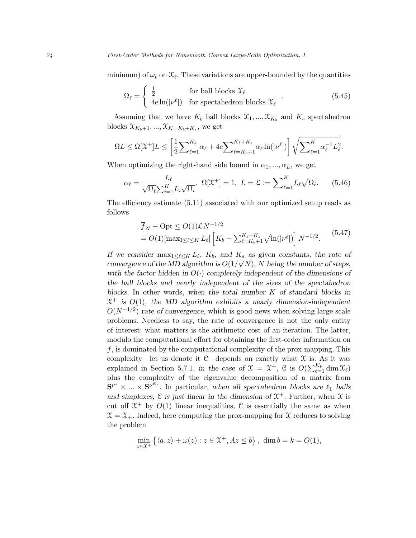minimum) of  $\omega_\ell$  on  $\mathfrak{X}_\ell$ . These variations are upper-bounded by the quantities

$$
\Omega_{\ell} = \begin{cases} \frac{1}{2} & \text{for ball blocks } \mathcal{X}_{\ell} \\ 4e \ln(|\nu^{\ell}|) & \text{for spectraledron blocks } \mathcal{X}_{\ell} \end{cases} . \tag{5.45}
$$

Assuming that we have  $K_b$  ball blocks  $\mathfrak{X}_1, ..., \mathfrak{X}_{K_b}$  and  $K_s$  spectahedron blocks  $\mathfrak{X}_{K_b+1}, \ldots, \mathfrak{X}_{K=K_b+K_s}$ , we get

$$
\Omega L \leq \Omega[\mathfrak{X}^+]L \leq \left[\frac{1}{2}\sum\nolimits_{\ell=1}^{K_b} \alpha_{\ell} + 4\mathrm{e} \sum\nolimits_{\ell=K_b+1}^{K_b+K_s} \alpha_{\ell} \ln(|\nu^{\ell}|) \right] \sqrt{\sum\nolimits_{\ell=1}^K \alpha_{\ell}^{-1} L_{\ell}^2}.
$$

When optimizing the right-hand side bound in  $\alpha_1, ..., \alpha_L$ , we get

$$
\alpha_{\ell} = \frac{L_{\ell}}{\sqrt{\Omega_{\ell} \sum_{i=1}^{K} L_i \sqrt{\Omega_i}}}, \ \Omega[\mathfrak{X}^+] = 1, \ L = \mathcal{L} := \sum_{\ell=1}^{K} L_{\ell} \sqrt{\Omega_{\ell}}.
$$
 (5.46)

The efficiency estimate (5.11) associated with our optimized setup reads as follows

$$
\overline{f}_N - \text{Opt} \le O(1)\mathcal{L}N^{-1/2}
$$
\n
$$
= O(1)[\max_{1 \le \ell \le K} L_\ell] \left[ K_b + \sum_{\ell = K_b + 1}^{K_b + K_s} \sqrt{\ln(|\nu^{\ell}|)} \right] N^{-1/2}.
$$
\n(5.47)

If we consider  $\max_{1 \leq \ell \leq K} L_{\ell}$ ,  $K_b$ , and  $K_s$  as given constants, the rate of convergence of the MD algorithm is  $O(1/\sqrt{N})$ , N being the number of steps, with the factor hidden in  $O(\cdot)$  completely independent of the dimensions of the ball blocks and nearly independent of the sizes of the spectahedron blocks. In other words, when the total number  $K$  of standard blocks in  $\mathfrak{X}^+$  is  $O(1)$ , the MD algorithm exhibits a nearly dimension-independent  $O(N^{-1/2})$  rate of convergence, which is good news when solving large-scale problems. Needless to say, the rate of convergence is not the only entity of interest; what matters is the arithmetic cost of an iteration. The latter, modulo the computational effort for obtaining the first-order information on f, is dominated by the computational complexity of the prox-mapping. This complexity—let us denote it  $C$ —depends on exactly what  $\mathcal X$  is. As it was explained in Section 5.7.1, in the case of  $\mathfrak{X} = \mathfrak{X}^+$ ,  $\mathfrak{C}$  is  $O(\sum_{\ell=1}^{K_b} \dim \mathfrak{X}_{\ell})$ plus the complexity of the eigenvalue decomposition of a matrix from  ${\bf S}^{\nu^1} \times ... \times {\bf S}^{\nu^{K_s}}$ . In particular, when all spectahedron blocks are  $\ell_1$  balls and simplexes,  $C$  is just linear in the dimension of  $\mathfrak{X}^+$ . Further, when  $\mathfrak{X}$  is cut off  $\mathfrak{X}^+$  by  $O(1)$  linear inequalities, C is essentially the same as when  $\mathfrak{X} = \mathfrak{X}_+$ . Indeed, here computing the prox-mapping for  $\mathfrak{X}$  reduces to solving the problem

$$
\min_{z \in \mathcal{X}^+} \left\{ \langle a, z \rangle + \omega(z) : z \in \mathcal{X}^+, Az \le b \right\}, \dim b = k = O(1),
$$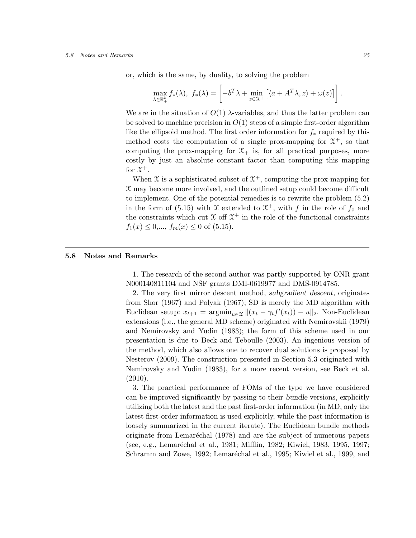#### 5.8 Notes and Remarks 25

or, which is the same, by duality, to solving the problem

$$
\max_{\lambda \in \mathbb{R}_+^k} f_*(\lambda), \ f_*(\lambda) = \left[ -b^T \lambda + \min_{z \in \mathcal{X}^+} \left[ \langle a + A^T \lambda, z \rangle + \omega(z) \right] \right].
$$

We are in the situation of  $O(1)$   $\lambda$ -variables, and thus the latter problem can be solved to machine precision in  $O(1)$  steps of a simple first-order algorithm like the ellipsoid method. The first order information for  $f_*$  required by this method costs the computation of a single prox-mapping for  $\mathfrak{X}^+$ , so that computing the prox-mapping for  $\mathfrak{X}_{+}$  is, for all practical purposes, more costly by just an absolute constant factor than computing this mapping for  $\mathfrak{X}^+$ .

When  $\mathfrak X$  is a sophisticated subset of  $\mathfrak X^+$ , computing the prox-mapping for  $\mathfrak X$  may become more involved, and the outlined setup could become difficult to implement. One of the potential remedies is to rewrite the problem (5.2) in the form of (5.15) with X extended to  $\mathfrak{X}^+$ , with f in the role of  $f_0$  and the constraints which cut  $X$  off  $X^+$  in the role of the functional constraints  $f_1(x) \leq 0, ..., f_m(x) \leq 0$  of (5.15).

## 5.8 Notes and Remarks

1. The research of the second author was partly supported by ONR grant N000140811104 and NSF grants DMI-0619977 and DMS-0914785.

2. The very first mirror descent method, subgradient descent, originates from Shor (1967) and Polyak (1967); SD is merely the MD algorithm with Euclidean setup:  $x_{t+1} = \operatorname{argmin}_{u \in \mathcal{X}} ||(x_t - \gamma_t f'(x_t)) - u||_2$ . Non-Euclidean extensions (i.e., the general MD scheme) originated with Nemirovskii (1979) and Nemirovsky and Yudin (1983); the form of this scheme used in our presentation is due to Beck and Teboulle (2003). An ingenious version of the method, which also allows one to recover dual solutions is proposed by Nesterov (2009). The construction presented in Section 5.3 originated with Nemirovsky and Yudin (1983), for a more recent version, see Beck et al. (2010).

3. The practical performance of FOMs of the type we have considered can be improved significantly by passing to their bundle versions, explicitly utilizing both the latest and the past first-order information (in MD, only the latest first-order information is used explicitly, while the past information is loosely summarized in the current iterate). The Euclidean bundle methods originate from Lemaréchal (1978) and are the subject of numerous papers (see, e.g., Lemaréchal et al., 1981; Mifflin, 1982; Kiwiel, 1983, 1995, 1997; Schramm and Zowe, 1992; Lemaréchal et al., 1995; Kiwiel et al., 1999, and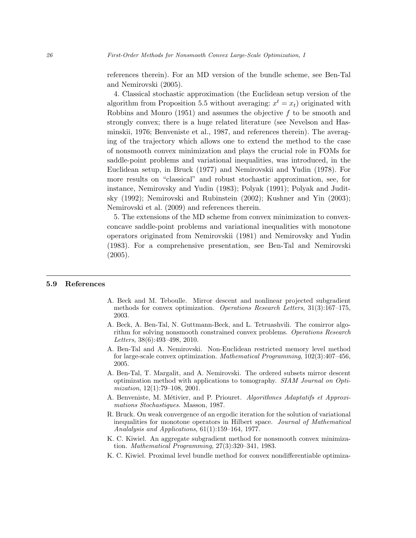references therein). For an MD version of the bundle scheme, see Ben-Tal and Nemirovski (2005).

4. Classical stochastic approximation (the Euclidean setup version of the algorithm from Proposition 5.5 without averaging:  $x^t = x_t$ ) originated with Robbins and Monro (1951) and assumes the objective f to be smooth and strongly convex; there is a huge related literature (see Nevelson and Hasminskii, 1976; Benveniste et al., 1987, and references therein). The averaging of the trajectory which allows one to extend the method to the case of nonsmooth convex minimization and plays the crucial role in FOMs for saddle-point problems and variational inequalities, was introduced, in the Euclidean setup, in Bruck (1977) and Nemirovskii and Yudin (1978). For more results on "classical" and robust stochastic approximation, see, for instance, Nemirovsky and Yudin (1983); Polyak (1991); Polyak and Juditsky (1992); Nemirovski and Rubinstein (2002); Kushner and Yin (2003); Nemirovski et al. (2009) and references therein.

5. The extensions of the MD scheme from convex minimization to convexconcave saddle-point problems and variational inequalities with monotone operators originated from Nemirovskii (1981) and Nemirovsky and Yudin (1983). For a comprehensive presentation, see Ben-Tal and Nemirovski  $(2005).$ 

# 5.9 References

- A. Beck and M. Teboulle. Mirror descent and nonlinear projected subgradient methods for convex optimization. Operations Research Letters, 31(3):167–175, 2003.
- A. Beck, A. Ben-Tal, N. Guttmann-Beck, and L. Tetruashvili. The comirror algorithm for solving nonsmooth constrained convex problems. Operations Research Letters, 38(6):493–498, 2010.
- A. Ben-Tal and A. Nemirovski. Non-Euclidean restricted memory level method for large-scale convex optimization. Mathematical Programming, 102(3):407–456, 2005.
- A. Ben-Tal, T. Margalit, and A. Nemirovski. The ordered subsets mirror descent optimization method with applications to tomography. SIAM Journal on Optimization, 12(1):79–108, 2001.
- A. Benveniste, M. Métivier, and P. Priouret. Algorithmes Adaptatifs et Approximations Stochastiques. Masson, 1987.
- R. Bruck. On weak convergence of an ergodic iteration for the solution of variational inequalities for monotone operators in Hilbert space. Journal of Mathematical Analalysis and Applications, 61(1):159–164, 1977.
- K. C. Kiwiel. An aggregate subgradient method for nonsmooth convex minimization. Mathematical Programming, 27(3):320–341, 1983.
- K. C. Kiwiel. Proximal level bundle method for convex nondifferentiable optimiza-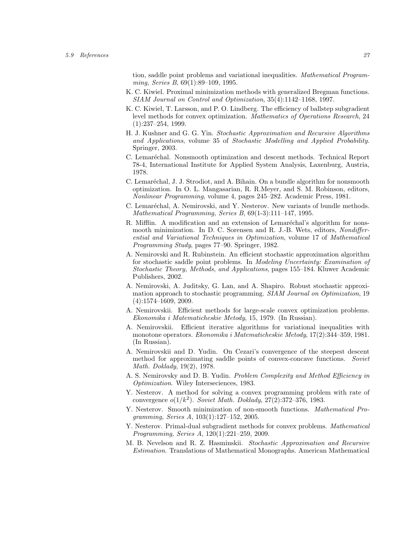tion, saddle point problems and variational inequalities. Mathematical Programming, Series B, 69(1):89–109, 1995.

- K. C. Kiwiel. Proximal minimization methods with generalized Bregman functions. SIAM Journal on Control and Optimization, 35(4):1142–1168, 1997.
- K. C. Kiwiel, T. Larsson, and P. O. Lindberg. The efficiency of ballstep subgradient level methods for convex optimization. Mathematics of Operations Research, 24 (1):237–254, 1999.
- H. J. Kushner and G. G. Yin. Stochastic Approximation and Recursive Algorithms and Applications, volume 35 of Stochastic Modelling and Applied Probability. Springer, 2003.
- C. Lemaréchal. Nonsmooth optimization and descent methods. Technical Report 78-4, International Institute for Applied System Analysis, Laxenburg, Austria, 1978.
- C. Lemaréchal, J. J. Strodiot, and A. Bihain. On a bundle algorithm for nonsmooth optimization. In O. L. Mangasarian, R. R.Meyer, and S. M. Robinson, editors, Nonlinear Programming, volume 4, pages 245–282. Academic Press, 1981.
- C. Lemaréchal, A. Nemirovski, and Y. Nesterov. New variants of bundle methods. Mathematical Programming, Series B, 69(1-3):111–147, 1995.
- R. Mifflin. A modification and an extension of Lemaréchal's algorithm for nonsmooth minimization. In D. C. Sorensen and R. J.-B. Wets, editors, *Nondiffer*ential and Variational Techniques in Optimization, volume 17 of Mathematical Programming Study, pages 77–90. Springer, 1982.
- A. Nemirovski and R. Rubinstein. An efficient stochastic approximation algorithm for stochastic saddle point problems. In Modeling Uncertainty: Examination of Stochastic Theory, Methods, and Applications, pages 155–184. Kluwer Academic Publishers, 2002.
- A. Nemirovski, A. Juditsky, G. Lan, and A. Shapiro. Robust stochastic approximation approach to stochastic programming. *SIAM Journal on Optimization*, 19 (4):1574–1609, 2009.
- A. Nemirovskii. Efficient methods for large-scale convex optimization problems. Ekonomika i Matematicheskie Metody, 15, 1979. (In Russian).
- A. Nemirovskii. Efficient iterative algorithms for variational inequalities with monotone operators. Ekonomika i Matematicheskie Metody, 17(2):344–359, 1981. (In Russian).
- A. Nemirovskii and D. Yudin. On Cezari's convergence of the steepest descent method for approximating saddle points of convex-concave functions. Soviet Math. Doklady, 19(2), 1978.
- A. S. Nemirovsky and D. B. Yudin. Problem Complexity and Method Efficiency in Optimization. Wiley Interseciences, 1983.
- Y. Nesterov. A method for solving a convex programming problem with rate of convergence  $o(1/k^2)$ . Soviet Math. Doklady,  $27(2):372-376$ , 1983.
- Y. Nesterov. Smooth minimization of non-smooth functions. Mathematical Programming, Series A, 103(1):127–152, 2005.
- Y. Nesterov. Primal-dual subgradient methods for convex problems. *Mathematical* Programming, Series A, 120(1):221–259, 2009.
- M. B. Nevelson and R. Z. Hasminskii. Stochastic Approximation and Recursive Estimation. Translations of Mathematical Monographs. American Mathematical